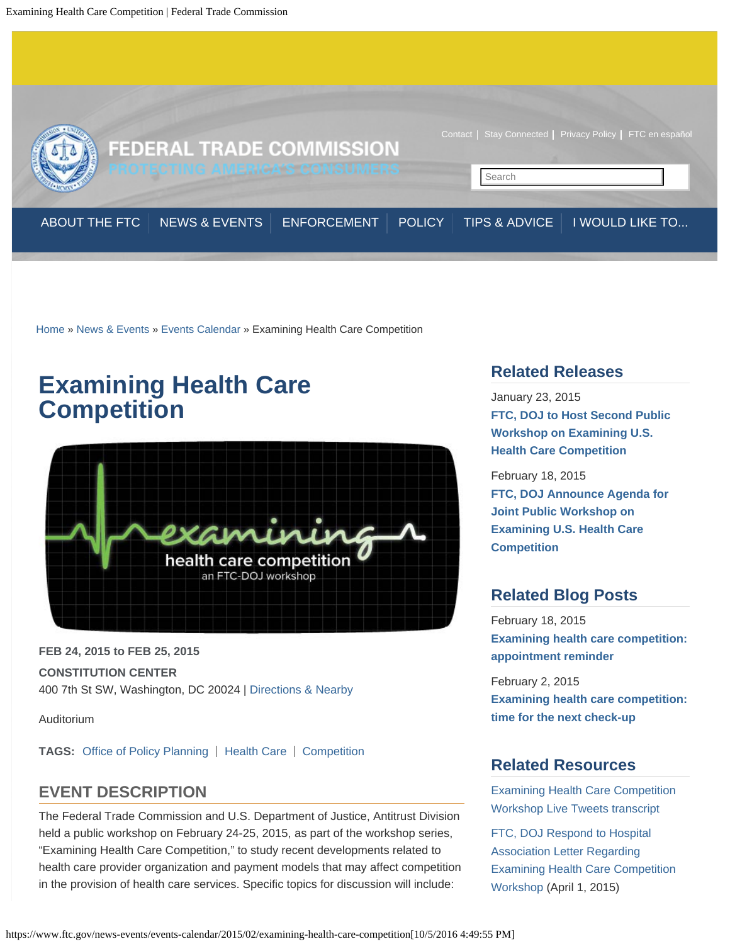<span id="page-0-0"></span>

[Home](https://www.ftc.gov/) » [News & Events](https://www.ftc.gov/news-events) » [Events Calendar](https://www.ftc.gov/news-events/events-calendar) » Examining Health Care Competition

# **Examining Health Care Competition**



**FEB 24, 2015 to FEB 25, 2015 CONSTITUTION CENTER** 400 7th St SW, Washington, DC 20024 | [Directions & Nearby](https://www.ftc.gov/news-events/locations/constitution-center)

Auditorium

**TAGS:** [Office of Policy Planning](https://www.ftc.gov/bureaus/office-policy-planning) | [Health Care](https://www.ftc.gov/industry/health-care) | [Competition](https://www.ftc.gov/mission/competition)

# **EVENT DESCRIPTION**

The Federal Trade Commission and U.S. Department of Justice, Antitrust Division held a public workshop on February 24-25, 2015, as part of the workshop series, "Examining Health Care Competition," to study recent developments related to health care provider organization and payment models that may affect competition in the provision of health care services. Specific topics for discussion will include:

# **Related Releases**

January 23, 2015 **[FTC, DOJ to Host Second Public](https://www.ftc.gov/news-events/press-releases/2015/01/ftc-doj-host-second-public-workshop-examining-us-health-care) [Workshop on Examining U.S.](https://www.ftc.gov/news-events/press-releases/2015/01/ftc-doj-host-second-public-workshop-examining-us-health-care) [Health Care Competition](https://www.ftc.gov/news-events/press-releases/2015/01/ftc-doj-host-second-public-workshop-examining-us-health-care)**

February 18, 2015 **[FTC, DOJ Announce Agenda for](https://www.ftc.gov/news-events/press-releases/2015/02/ftc-doj-announce-agenda-joint-public-workshop-examining-us-health) [Joint Public Workshop on](https://www.ftc.gov/news-events/press-releases/2015/02/ftc-doj-announce-agenda-joint-public-workshop-examining-us-health) [Examining U.S. Health Care](https://www.ftc.gov/news-events/press-releases/2015/02/ftc-doj-announce-agenda-joint-public-workshop-examining-us-health) [Competition](https://www.ftc.gov/news-events/press-releases/2015/02/ftc-doj-announce-agenda-joint-public-workshop-examining-us-health)**

# **Related Blog Posts**

February 18, 2015 **[Examining health care competition:](https://www.ftc.gov/news-events/blogs/competition-matters/2015/02/examining-health-care-competition-appointment-reminder) [appointment reminder](https://www.ftc.gov/news-events/blogs/competition-matters/2015/02/examining-health-care-competition-appointment-reminder)**

February 2, 2015 **[Examining health care competition:](https://www.ftc.gov/news-events/blogs/competition-matters/2015/02/examining-health-care-competition-time-next-check) [time for the next check-up](https://www.ftc.gov/news-events/blogs/competition-matters/2015/02/examining-health-care-competition-time-next-check)**

# **Related Resources**

[Examining Health Care Competition](https://www.ftc.gov/system/files/attachments/tweeting-ftc-events/ftc-doj_healthcare_competition_workshop_live_tweets_transcript_2-24-25-15.pdf) [Workshop Live Tweets transcript](https://www.ftc.gov/system/files/attachments/tweeting-ftc-events/ftc-doj_healthcare_competition_workshop_live_tweets_transcript_2-24-25-15.pdf)

[FTC, DOJ Respond to Hospital](https://www.ftc.gov/system/files/documents/public_events/618591/150401ftc-dojltrtohospasso.pdf) [Association Letter Regarding](https://www.ftc.gov/system/files/documents/public_events/618591/150401ftc-dojltrtohospasso.pdf) [Examining Health Care Competition](https://www.ftc.gov/system/files/documents/public_events/618591/150401ftc-dojltrtohospasso.pdf) [Workshop](https://www.ftc.gov/system/files/documents/public_events/618591/150401ftc-dojltrtohospasso.pdf) (April 1, 2015)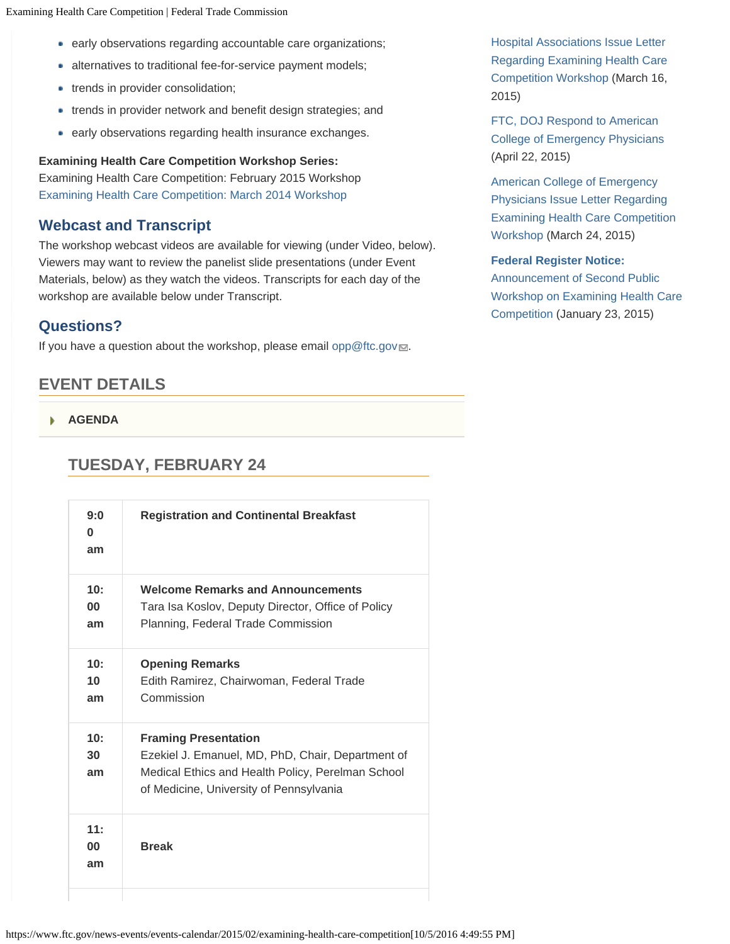- early observations regarding accountable care organizations;
- alternatives to traditional fee-for-service payment models;
- trends in provider consolidation;
- trends in provider network and benefit design strategies; and
- **e** early observations regarding health insurance exchanges.

**Examining Health Care Competition Workshop Series:**

Examining Health Care Competition: February 2015 Workshop [Examining Health Care Competition: March 2014 Workshop](https://www.ftc.gov/news-events/events-calendar/2014/03/examining-health-care-competition)

### **Webcast and Transcript**

The workshop webcast videos are available for viewing (under Video, below). Viewers may want to review the panelist slide presentations (under Event Materials, below) as they watch the videos. Transcripts for each day of the workshop are available below under Transcript.

### **Questions?**

If you have a question about the workshop, please email [opp@ftc.gov](mailto:opp@ftc.gov)...

## **EVENT DETAILS**

**[AGENDA](#page-0-0)**

# **TUESDAY, FEBRUARY 24**

| 9:0<br>$\bf{0}$<br>am        | <b>Registration and Continental Breakfast</b>                                                                                                                                    |
|------------------------------|----------------------------------------------------------------------------------------------------------------------------------------------------------------------------------|
| 10:<br>$00\,$<br>am          | <b>Welcome Remarks and Announcements</b><br>Tara Isa Koslov, Deputy Director, Office of Policy<br>Planning, Federal Trade Commission                                             |
| 10:<br>10 <sup>1</sup><br>am | <b>Opening Remarks</b><br>Edith Ramirez, Chairwoman, Federal Trade<br>Commission                                                                                                 |
| 10:<br>30<br>am              | <b>Framing Presentation</b><br>Ezekiel J. Emanuel, MD, PhD, Chair, Department of<br>Medical Ethics and Health Policy, Perelman School<br>of Medicine, University of Pennsylvania |
| 11:<br>00<br>am              | <b>Break</b>                                                                                                                                                                     |
|                              |                                                                                                                                                                                  |

[Hospital Associations Issue Letter](https://www.ftc.gov/system/files/documents/public_events/618591/150316hospitalassociationltrtoftc-doj.pdf) [Regarding Examining Health Care](https://www.ftc.gov/system/files/documents/public_events/618591/150316hospitalassociationltrtoftc-doj.pdf) [Competition Workshop](https://www.ftc.gov/system/files/documents/public_events/618591/150316hospitalassociationltrtoftc-doj.pdf) (March 16, 2015)

[FTC, DOJ Respond to American](https://www.ftc.gov/system/files/documents/public_events/618591/acepresponse.pdf) [College of Emergency Physicians](https://www.ftc.gov/system/files/documents/public_events/618591/acepresponse.pdf) (April 22, 2015)

[American College of Emergency](https://www.ftc.gov/system/files/documents/public_events/618591/acepletter.pdf) [Physicians Issue Letter Regarding](https://www.ftc.gov/system/files/documents/public_events/618591/acepletter.pdf) [Examining Health Care Competition](https://www.ftc.gov/system/files/documents/public_events/618591/acepletter.pdf) [Workshop](https://www.ftc.gov/system/files/documents/public_events/618591/acepletter.pdf) (March 24, 2015)

### **[Federal Register Notice:](https://www.ftc.gov/policy/federal-register-notices/announcement-second-public-workshop-examining-health-care)**

[Announcement of Second Public](https://www.ftc.gov/policy/federal-register-notices/announcement-second-public-workshop-examining-health-care) [Workshop on Examining Health Care](https://www.ftc.gov/policy/federal-register-notices/announcement-second-public-workshop-examining-health-care) [Competition](https://www.ftc.gov/policy/federal-register-notices/announcement-second-public-workshop-examining-health-care) (January 23, 2015)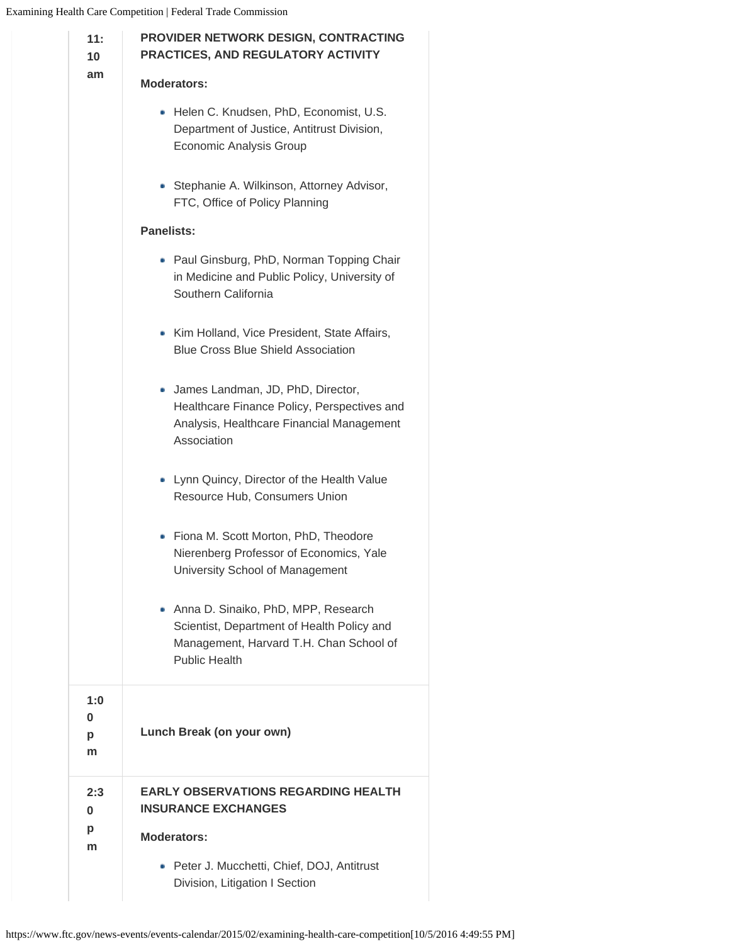| 11:<br>10 <sup>1</sup> | PROVIDER NETWORK DESIGN, CONTRACTING<br>PRACTICES, AND REGULATORY ACTIVITY                                                                           |  |  |  |  |  |  |
|------------------------|------------------------------------------------------------------------------------------------------------------------------------------------------|--|--|--|--|--|--|
| am                     | <b>Moderators:</b>                                                                                                                                   |  |  |  |  |  |  |
|                        | • Helen C. Knudsen, PhD, Economist, U.S.<br>Department of Justice, Antitrust Division,<br>Economic Analysis Group                                    |  |  |  |  |  |  |
|                        | • Stephanie A. Wilkinson, Attorney Advisor,<br>FTC, Office of Policy Planning                                                                        |  |  |  |  |  |  |
|                        | <b>Panelists:</b>                                                                                                                                    |  |  |  |  |  |  |
|                        | • Paul Ginsburg, PhD, Norman Topping Chair<br>in Medicine and Public Policy, University of<br>Southern California                                    |  |  |  |  |  |  |
|                        | • Kim Holland, Vice President, State Affairs,<br><b>Blue Cross Blue Shield Association</b>                                                           |  |  |  |  |  |  |
|                        | • James Landman, JD, PhD, Director,<br>Healthcare Finance Policy, Perspectives and<br>Analysis, Healthcare Financial Management<br>Association       |  |  |  |  |  |  |
|                        | • Lynn Quincy, Director of the Health Value<br>Resource Hub, Consumers Union                                                                         |  |  |  |  |  |  |
|                        | Fiona M. Scott Morton, PhD, Theodore<br>۰<br>Nierenberg Professor of Economics, Yale<br>University School of Management                              |  |  |  |  |  |  |
|                        | Anna D. Sinaiko, PhD, MPP, Research<br>Scientist, Department of Health Policy and<br>Management, Harvard T.H. Chan School of<br><b>Public Health</b> |  |  |  |  |  |  |
| 1:0<br>0<br>р<br>m     | Lunch Break (on your own)                                                                                                                            |  |  |  |  |  |  |
| 2:3<br>0               | <b>EARLY OBSERVATIONS REGARDING HEALTH</b><br><b>INSURANCE EXCHANGES</b>                                                                             |  |  |  |  |  |  |
| p<br>m                 | <b>Moderators:</b>                                                                                                                                   |  |  |  |  |  |  |
|                        | Peter J. Mucchetti, Chief, DOJ, Antitrust<br>۰<br>Division, Litigation I Section                                                                     |  |  |  |  |  |  |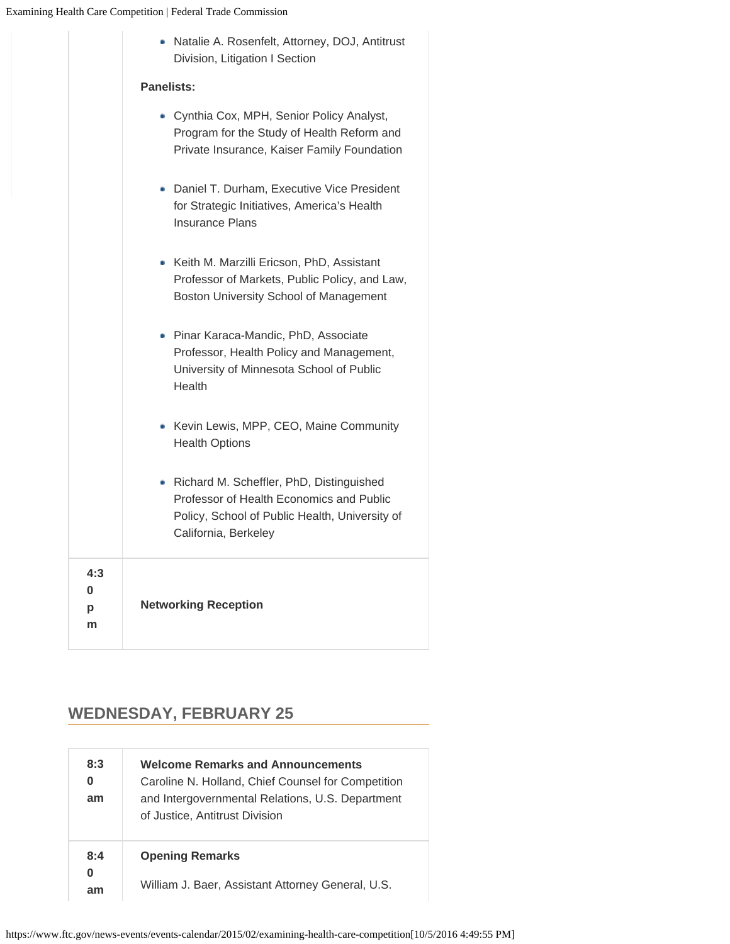|                    | • Natalie A. Rosenfelt, Attorney, DOJ, Antitrust<br>Division, Litigation I Section                                                                               |  |  |
|--------------------|------------------------------------------------------------------------------------------------------------------------------------------------------------------|--|--|
|                    | Panelists:                                                                                                                                                       |  |  |
|                    | • Cynthia Cox, MPH, Senior Policy Analyst,<br>Program for the Study of Health Reform and<br>Private Insurance, Kaiser Family Foundation                          |  |  |
|                    | • Daniel T. Durham, Executive Vice President<br>for Strategic Initiatives, America's Health<br><b>Insurance Plans</b>                                            |  |  |
|                    | • Keith M. Marzilli Ericson, PhD, Assistant<br>Professor of Markets, Public Policy, and Law,<br>Boston University School of Management                           |  |  |
|                    | • Pinar Karaca-Mandic, PhD, Associate<br>Professor, Health Policy and Management,<br>University of Minnesota School of Public<br>Health                          |  |  |
|                    | • Kevin Lewis, MPP, CEO, Maine Community<br><b>Health Options</b>                                                                                                |  |  |
|                    | • Richard M. Scheffler, PhD, Distinguished<br>Professor of Health Economics and Public<br>Policy, School of Public Health, University of<br>California, Berkeley |  |  |
| 4:3<br>0<br>р<br>m | <b>Networking Reception</b>                                                                                                                                      |  |  |
|                    |                                                                                                                                                                  |  |  |

# **WEDNESDAY, FEBRUARY 25**

| 8:3<br>0<br>am | <b>Welcome Remarks and Announcements</b><br>Caroline N. Holland, Chief Counsel for Competition<br>and Intergovernmental Relations, U.S. Department<br>of Justice, Antitrust Division |
|----------------|--------------------------------------------------------------------------------------------------------------------------------------------------------------------------------------|
| 8:4<br>0<br>am | <b>Opening Remarks</b>                                                                                                                                                               |
|                | William J. Baer, Assistant Attorney General, U.S.                                                                                                                                    |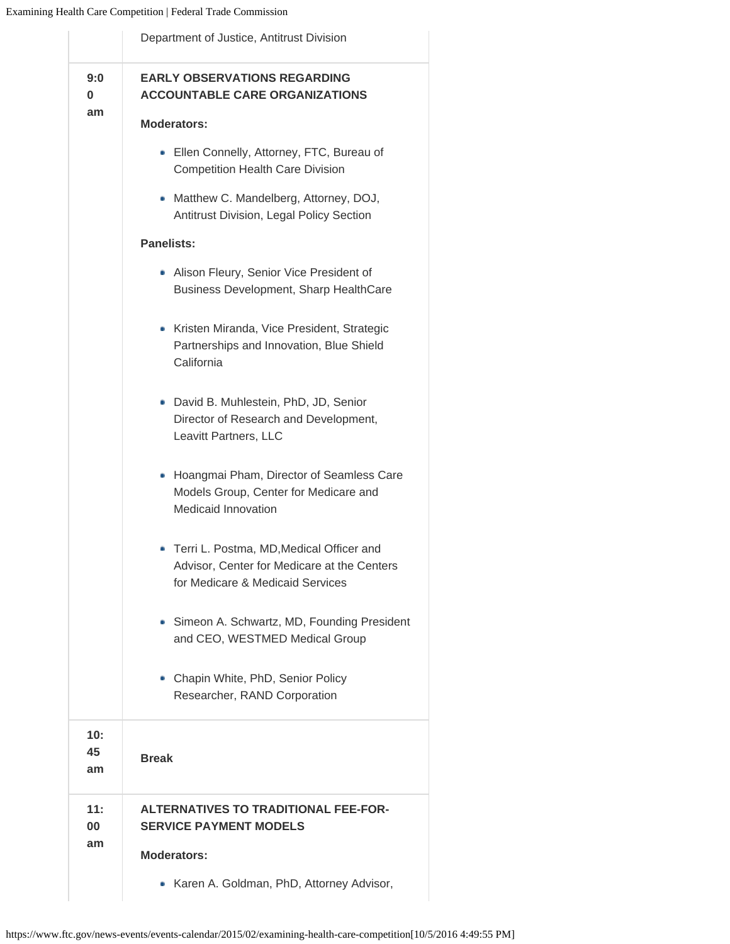|                 | Department of Justice, Antitrust Division                                                                                     |  |  |  |  |
|-----------------|-------------------------------------------------------------------------------------------------------------------------------|--|--|--|--|
| 9:0<br>0        | <b>EARLY OBSERVATIONS REGARDING</b><br><b>ACCOUNTABLE CARE ORGANIZATIONS</b>                                                  |  |  |  |  |
| am              | <b>Moderators:</b>                                                                                                            |  |  |  |  |
|                 | • Ellen Connelly, Attorney, FTC, Bureau of<br><b>Competition Health Care Division</b>                                         |  |  |  |  |
|                 | Matthew C. Mandelberg, Attorney, DOJ,<br>Antitrust Division, Legal Policy Section                                             |  |  |  |  |
|                 | <b>Panelists:</b>                                                                                                             |  |  |  |  |
|                 | • Alison Fleury, Senior Vice President of<br>Business Development, Sharp HealthCare                                           |  |  |  |  |
|                 | • Kristen Miranda, Vice President, Strategic<br>Partnerships and Innovation, Blue Shield<br>California                        |  |  |  |  |
|                 | · David B. Muhlestein, PhD, JD, Senior<br>Director of Research and Development,<br>Leavitt Partners, LLC                      |  |  |  |  |
|                 | Hoangmai Pham, Director of Seamless Care<br>Models Group, Center for Medicare and<br>Medicaid Innovation                      |  |  |  |  |
|                 | • Terri L. Postma, MD, Medical Officer and<br>Advisor, Center for Medicare at the Centers<br>for Medicare & Medicaid Services |  |  |  |  |
|                 | Simeon A. Schwartz, MD, Founding President<br>and CEO, WESTMED Medical Group                                                  |  |  |  |  |
|                 | Chapin White, PhD, Senior Policy<br>Researcher, RAND Corporation                                                              |  |  |  |  |
| 10:<br>45<br>am | <b>Break</b>                                                                                                                  |  |  |  |  |
| 11:<br>00<br>am | <b>ALTERNATIVES TO TRADITIONAL FEE-FOR-</b><br><b>SERVICE PAYMENT MODELS</b>                                                  |  |  |  |  |
|                 | <b>Moderators:</b>                                                                                                            |  |  |  |  |
|                 | Karen A. Goldman, PhD, Attorney Advisor,                                                                                      |  |  |  |  |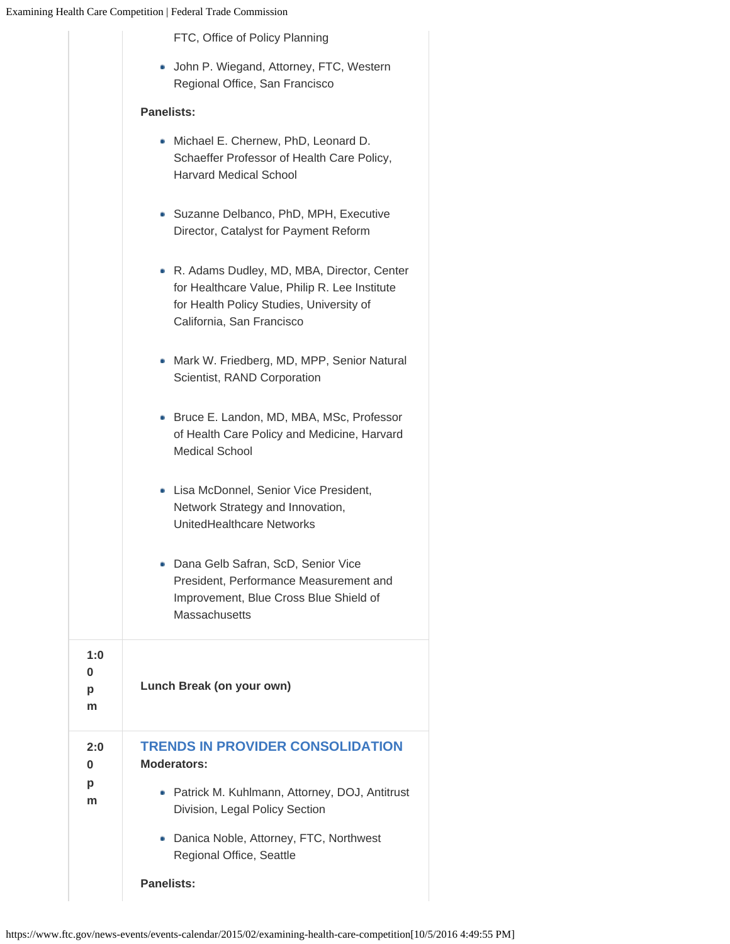|                    | FTC, Office of Policy Planning                                                                                                                                         |  |  |  |  |  |
|--------------------|------------------------------------------------------------------------------------------------------------------------------------------------------------------------|--|--|--|--|--|
|                    | • John P. Wiegand, Attorney, FTC, Western<br>Regional Office, San Francisco                                                                                            |  |  |  |  |  |
|                    | <b>Panelists:</b>                                                                                                                                                      |  |  |  |  |  |
|                    | • Michael E. Chernew, PhD, Leonard D.<br>Schaeffer Professor of Health Care Policy,<br><b>Harvard Medical School</b>                                                   |  |  |  |  |  |
|                    | • Suzanne Delbanco, PhD, MPH, Executive<br>Director, Catalyst for Payment Reform                                                                                       |  |  |  |  |  |
|                    | • R. Adams Dudley, MD, MBA, Director, Center<br>for Healthcare Value, Philip R. Lee Institute<br>for Health Policy Studies, University of<br>California, San Francisco |  |  |  |  |  |
|                    | • Mark W. Friedberg, MD, MPP, Senior Natural<br>Scientist, RAND Corporation                                                                                            |  |  |  |  |  |
|                    | • Bruce E. Landon, MD, MBA, MSc, Professor<br>of Health Care Policy and Medicine, Harvard<br><b>Medical School</b>                                                     |  |  |  |  |  |
|                    | • Lisa McDonnel, Senior Vice President,<br>Network Strategy and Innovation,<br>UnitedHealthcare Networks                                                               |  |  |  |  |  |
|                    | Dana Gelb Safran, ScD, Senior Vice<br>President, Performance Measurement and<br>Improvement, Blue Cross Blue Shield of<br><b>Massachusetts</b>                         |  |  |  |  |  |
| 1:0<br>0<br>р<br>m | Lunch Break (on your own)                                                                                                                                              |  |  |  |  |  |
| 2:0<br>0           | <b>TRENDS IN PROVIDER CONSOLIDATION</b><br><b>Moderators:</b>                                                                                                          |  |  |  |  |  |
| p<br>m             | • Patrick M. Kuhlmann, Attorney, DOJ, Antitrust<br>Division, Legal Policy Section                                                                                      |  |  |  |  |  |
|                    | • Danica Noble, Attorney, FTC, Northwest<br>Regional Office, Seattle                                                                                                   |  |  |  |  |  |
|                    | <b>Panelists:</b>                                                                                                                                                      |  |  |  |  |  |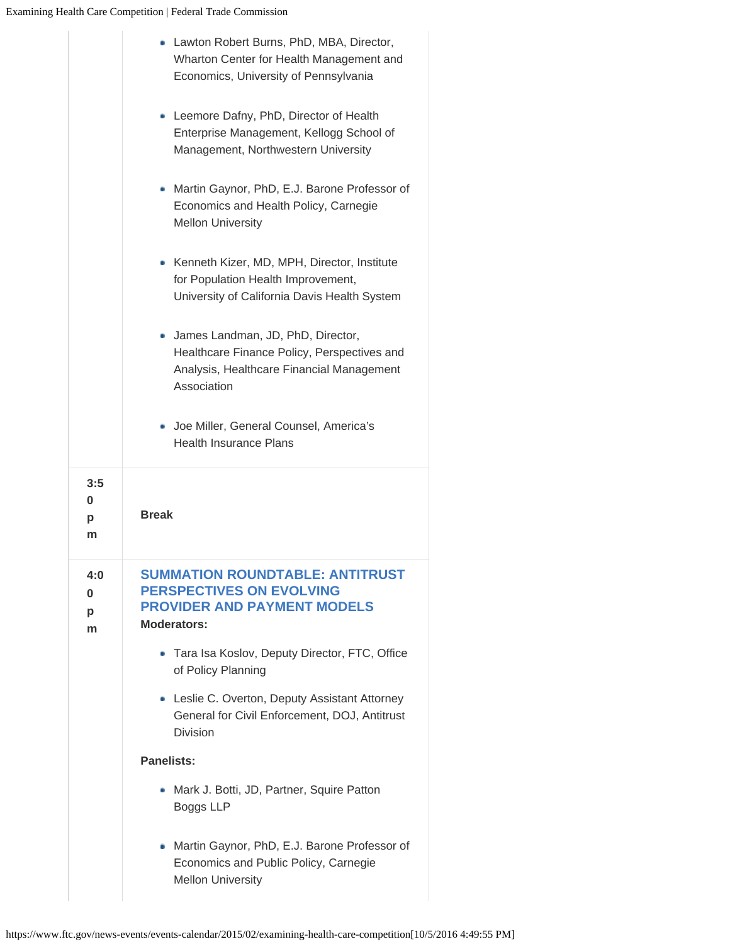|                    | • Lawton Robert Burns, PhD, MBA, Director,<br>Wharton Center for Health Management and<br>Economics, University of Pennsylvania                |  |  |  |  |
|--------------------|------------------------------------------------------------------------------------------------------------------------------------------------|--|--|--|--|
|                    | • Leemore Dafny, PhD, Director of Health<br>Enterprise Management, Kellogg School of<br>Management, Northwestern University                    |  |  |  |  |
|                    | • Martin Gaynor, PhD, E.J. Barone Professor of<br>Economics and Health Policy, Carnegie<br><b>Mellon University</b>                            |  |  |  |  |
|                    | • Kenneth Kizer, MD, MPH, Director, Institute<br>for Population Health Improvement,<br>University of California Davis Health System            |  |  |  |  |
|                    | · James Landman, JD, PhD, Director,<br>Healthcare Finance Policy, Perspectives and<br>Analysis, Healthcare Financial Management<br>Association |  |  |  |  |
|                    | • Joe Miller, General Counsel, America's<br><b>Health Insurance Plans</b>                                                                      |  |  |  |  |
| 3:5                |                                                                                                                                                |  |  |  |  |
| 0<br>р<br>m        | <b>Break</b>                                                                                                                                   |  |  |  |  |
| 4:0<br>0<br>р<br>m | <b>SUMMATION ROUNDTABLE: ANTITRUST</b><br><b>PERSPECTIVES ON EVOLVING</b><br><b>PROVIDER AND PAYMENT MODELS</b><br><b>Moderators:</b>          |  |  |  |  |
|                    | • Tara Isa Koslov, Deputy Director, FTC, Office<br>of Policy Planning                                                                          |  |  |  |  |
|                    | • Leslie C. Overton, Deputy Assistant Attorney<br>General for Civil Enforcement, DOJ, Antitrust<br><b>Division</b>                             |  |  |  |  |
|                    | <b>Panelists:</b>                                                                                                                              |  |  |  |  |
|                    | Mark J. Botti, JD, Partner, Squire Patton<br><b>Boggs LLP</b>                                                                                  |  |  |  |  |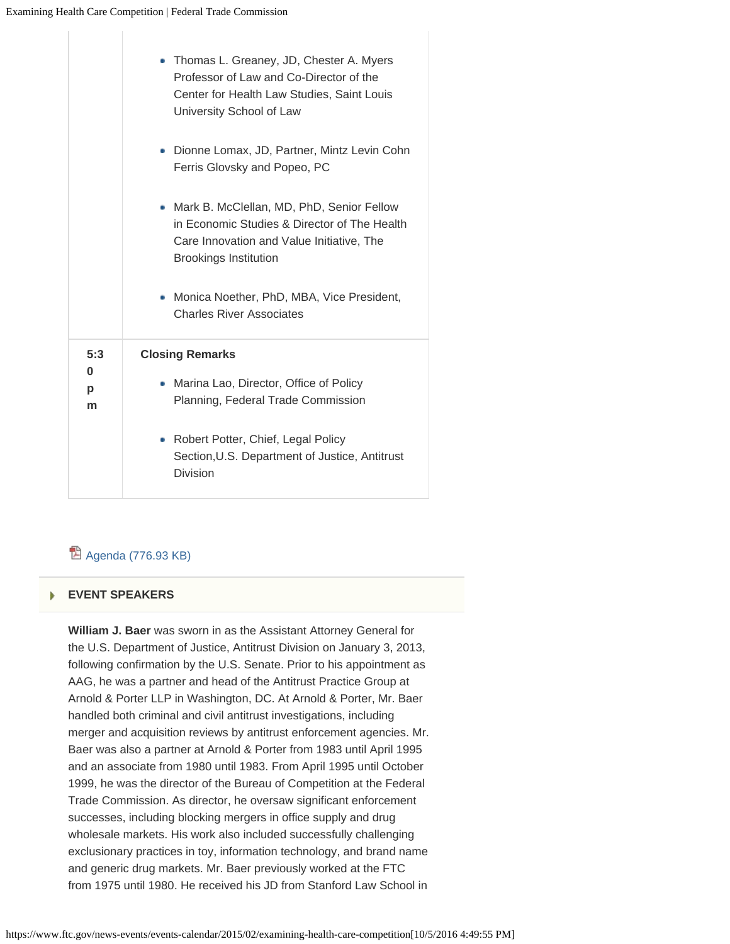|                    | Thomas L. Greaney, JD, Chester A. Myers<br>Professor of Law and Co-Director of the<br>Center for Health Law Studies, Saint Louis<br>University School of Law           |  |  |  |
|--------------------|------------------------------------------------------------------------------------------------------------------------------------------------------------------------|--|--|--|
|                    | • Dionne Lomax, JD, Partner, Mintz Levin Cohn<br>Ferris Glovsky and Popeo, PC                                                                                          |  |  |  |
|                    | Mark B. McClellan, MD, PhD, Senior Fellow<br>in Economic Studies & Director of The Health<br>Care Innovation and Value Initiative, The<br><b>Brookings Institution</b> |  |  |  |
|                    | Monica Noether, PhD, MBA, Vice President,<br><b>Charles River Associates</b>                                                                                           |  |  |  |
| 5:3                | <b>Closing Remarks</b>                                                                                                                                                 |  |  |  |
| $\bf{0}$<br>p<br>m | • Marina Lao, Director, Office of Policy<br>Planning, Federal Trade Commission                                                                                         |  |  |  |
|                    | Robert Potter, Chief, Legal Policy<br>۰<br>Section, U.S. Department of Justice, Antitrust<br>Division                                                                  |  |  |  |

# <sup>因</sup> [Agenda \(776.93 KB\)](https://www.ftc.gov/system/files/documents/public_events/618591/examining-healthcare-competition-agenda.pdf)

#### **[EVENT SPEAKERS](#page-0-0)** ь

**William J. Baer** was sworn in as the Assistant Attorney General for the U.S. Department of Justice, Antitrust Division on January 3, 2013, following confirmation by the U.S. Senate. Prior to his appointment as AAG, he was a partner and head of the Antitrust Practice Group at Arnold & Porter LLP in Washington, DC. At Arnold & Porter, Mr. Baer handled both criminal and civil antitrust investigations, including merger and acquisition reviews by antitrust enforcement agencies. Mr. Baer was also a partner at Arnold & Porter from 1983 until April 1995 and an associate from 1980 until 1983. From April 1995 until October 1999, he was the director of the Bureau of Competition at the Federal Trade Commission. As director, he oversaw significant enforcement successes, including blocking mergers in office supply and drug wholesale markets. His work also included successfully challenging exclusionary practices in toy, information technology, and brand name and generic drug markets. Mr. Baer previously worked at the FTC from 1975 until 1980. He received his JD from Stanford Law School in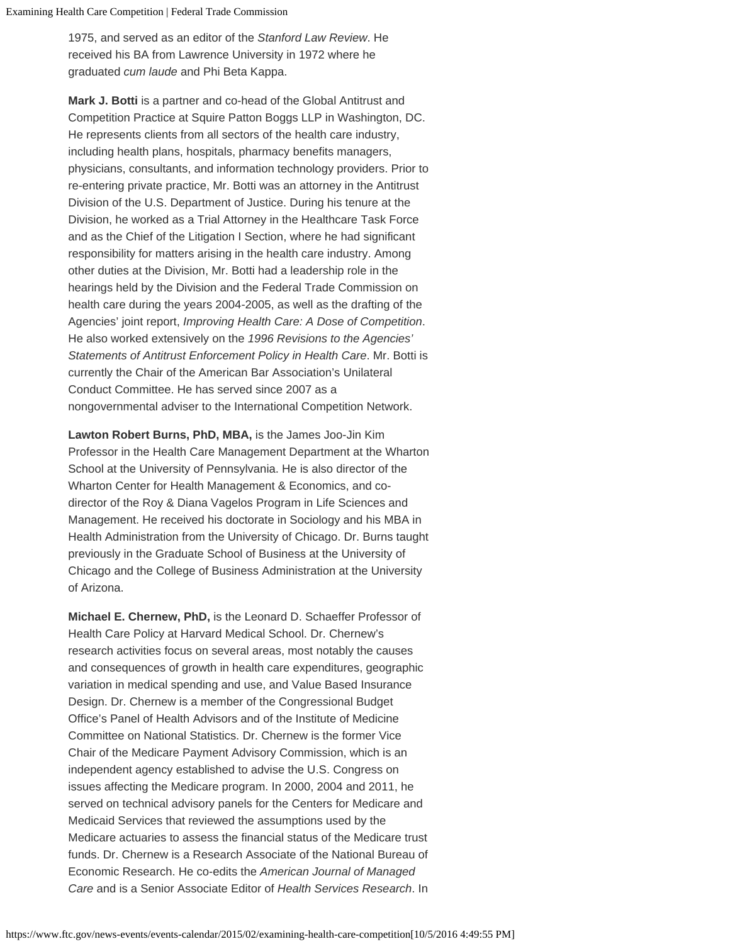1975, and served as an editor of the *Stanford Law Review*. He received his BA from Lawrence University in 1972 where he graduated *cum laude* and Phi Beta Kappa.

**Mark J. Botti** is a partner and co-head of the Global Antitrust and Competition Practice at Squire Patton Boggs LLP in Washington, DC. He represents clients from all sectors of the health care industry, including health plans, hospitals, pharmacy benefits managers, physicians, consultants, and information technology providers. Prior to re-entering private practice, Mr. Botti was an attorney in the Antitrust Division of the U.S. Department of Justice. During his tenure at the Division, he worked as a Trial Attorney in the Healthcare Task Force and as the Chief of the Litigation I Section, where he had significant responsibility for matters arising in the health care industry. Among other duties at the Division, Mr. Botti had a leadership role in the hearings held by the Division and the Federal Trade Commission on health care during the years 2004-2005, as well as the drafting of the Agencies' joint report, *Improving Health Care: A Dose of Competition*. He also worked extensively on the *1996 Revisions to the Agencies' Statements of Antitrust Enforcement Policy in Health Care*. Mr. Botti is currently the Chair of the American Bar Association's Unilateral Conduct Committee. He has served since 2007 as a nongovernmental adviser to the International Competition Network.

**Lawton Robert Burns, PhD, MBA,** is the James Joo-Jin Kim Professor in the Health Care Management Department at the Wharton School at the University of Pennsylvania. He is also director of the Wharton Center for Health Management & Economics, and codirector of the Roy & Diana Vagelos Program in Life Sciences and Management. He received his doctorate in Sociology and his MBA in Health Administration from the University of Chicago. Dr. Burns taught previously in the Graduate School of Business at the University of Chicago and the College of Business Administration at the University of Arizona.

**Michael E. Chernew, PhD,** is the Leonard D. Schaeffer Professor of Health Care Policy at Harvard Medical School. Dr. Chernew's research activities focus on several areas, most notably the causes and consequences of growth in health care expenditures, geographic variation in medical spending and use, and Value Based Insurance Design. Dr. Chernew is a member of the Congressional Budget Office's Panel of Health Advisors and of the Institute of Medicine Committee on National Statistics. Dr. Chernew is the former Vice Chair of the Medicare Payment Advisory Commission, which is an independent agency established to advise the U.S. Congress on issues affecting the Medicare program. In 2000, 2004 and 2011, he served on technical advisory panels for the Centers for Medicare and Medicaid Services that reviewed the assumptions used by the Medicare actuaries to assess the financial status of the Medicare trust funds. Dr. Chernew is a Research Associate of the National Bureau of Economic Research. He co-edits the *American Journal of Managed Care* and is a Senior Associate Editor of *Health Services Research*. In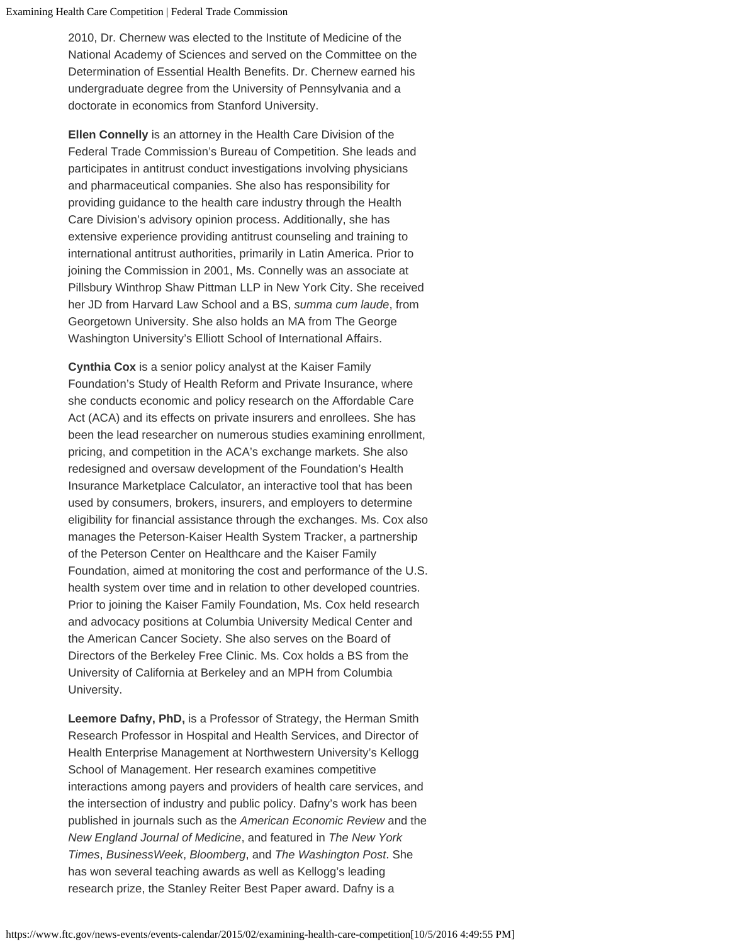2010, Dr. Chernew was elected to the Institute of Medicine of the National Academy of Sciences and served on the Committee on the Determination of Essential Health Benefits. Dr. Chernew earned his undergraduate degree from the University of Pennsylvania and a doctorate in economics from Stanford University.

**Ellen Connelly** is an attorney in the Health Care Division of the Federal Trade Commission's Bureau of Competition. She leads and participates in antitrust conduct investigations involving physicians and pharmaceutical companies. She also has responsibility for providing guidance to the health care industry through the Health Care Division's advisory opinion process. Additionally, she has extensive experience providing antitrust counseling and training to international antitrust authorities, primarily in Latin America. Prior to joining the Commission in 2001, Ms. Connelly was an associate at Pillsbury Winthrop Shaw Pittman LLP in New York City. She received her JD from Harvard Law School and a BS, *summa cum laude*, from Georgetown University. She also holds an MA from The George Washington University's Elliott School of International Affairs.

**Cynthia Cox** is a senior policy analyst at the Kaiser Family Foundation's Study of Health Reform and Private Insurance, where she conducts economic and policy research on the Affordable Care Act (ACA) and its effects on private insurers and enrollees. She has been the lead researcher on numerous studies examining enrollment, pricing, and competition in the ACA's exchange markets. She also redesigned and oversaw development of the Foundation's Health Insurance Marketplace Calculator, an interactive tool that has been used by consumers, brokers, insurers, and employers to determine eligibility for financial assistance through the exchanges. Ms. Cox also manages the Peterson-Kaiser Health System Tracker, a partnership of the Peterson Center on Healthcare and the Kaiser Family Foundation, aimed at monitoring the cost and performance of the U.S. health system over time and in relation to other developed countries. Prior to joining the Kaiser Family Foundation, Ms. Cox held research and advocacy positions at Columbia University Medical Center and the American Cancer Society. She also serves on the Board of Directors of the Berkeley Free Clinic. Ms. Cox holds a BS from the University of California at Berkeley and an MPH from Columbia University.

**Leemore Dafny, PhD,** is a Professor of Strategy, the Herman Smith Research Professor in Hospital and Health Services, and Director of Health Enterprise Management at Northwestern University's Kellogg School of Management. Her research examines competitive interactions among payers and providers of health care services, and the intersection of industry and public policy. Dafny's work has been published in journals such as the *American Economic Review* and the *New England Journal of Medicine*, and featured in *The New York Times*, *BusinessWeek*, *Bloomberg*, and *The Washington Post*. She has won several teaching awards as well as Kellogg's leading research prize, the Stanley Reiter Best Paper award. Dafny is a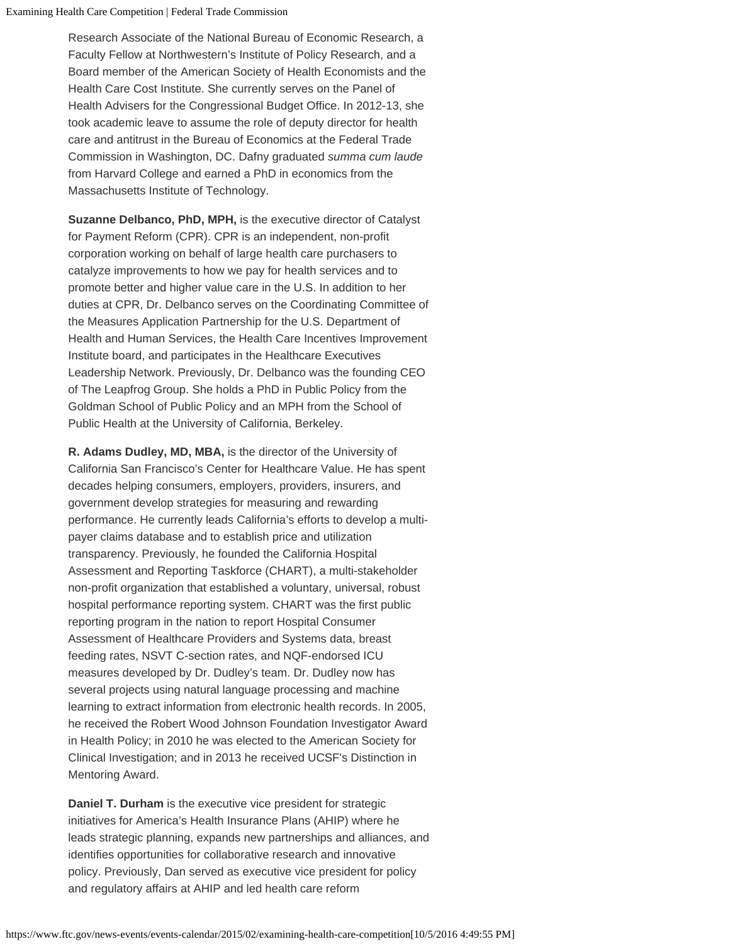Research Associate of the National Bureau of Economic Research, a Faculty Fellow at Northwestern's Institute of Policy Research, and a Board member of the American Society of Health Economists and the Health Care Cost Institute. She currently serves on the Panel of Health Advisers for the Congressional Budget Office. In 2012-13, she took academic leave to assume the role of deputy director for health care and antitrust in the Bureau of Economics at the Federal Trade Commission in Washington, DC. Dafny graduated *summa cum laude* from Harvard College and earned a PhD in economics from the Massachusetts Institute of Technology.

**Suzanne Delbanco, PhD, MPH,** is the executive director of Catalyst for Payment Reform (CPR). CPR is an independent, non-profit corporation working on behalf of large health care purchasers to catalyze improvements to how we pay for health services and to promote better and higher value care in the U.S. In addition to her duties at CPR, Dr. Delbanco serves on the Coordinating Committee of the Measures Application Partnership for the U.S. Department of Health and Human Services, the Health Care Incentives Improvement Institute board, and participates in the Healthcare Executives Leadership Network. Previously, Dr. Delbanco was the founding CEO of The Leapfrog Group. She holds a PhD in Public Policy from the Goldman School of Public Policy and an MPH from the School of Public Health at the University of California, Berkeley.

**R. Adams Dudley, MD, MBA,** is the director of the University of California San Francisco's Center for Healthcare Value. He has spent decades helping consumers, employers, providers, insurers, and government develop strategies for measuring and rewarding performance. He currently leads California's efforts to develop a multipayer claims database and to establish price and utilization transparency. Previously, he founded the California Hospital Assessment and Reporting Taskforce (CHART), a multi-stakeholder non-profit organization that established a voluntary, universal, robust hospital performance reporting system. CHART was the first public reporting program in the nation to report Hospital Consumer Assessment of Healthcare Providers and Systems data, breast feeding rates, NSVT C-section rates, and NQF-endorsed ICU measures developed by Dr. Dudley's team. Dr. Dudley now has several projects using natural language processing and machine learning to extract information from electronic health records. In 2005, he received the Robert Wood Johnson Foundation Investigator Award in Health Policy; in 2010 he was elected to the American Society for Clinical Investigation; and in 2013 he received UCSF's Distinction in Mentoring Award.

**Daniel T. Durham** is the executive vice president for strategic initiatives for America's Health Insurance Plans (AHIP) where he leads strategic planning, expands new partnerships and alliances, and identifies opportunities for collaborative research and innovative policy. Previously, Dan served as executive vice president for policy and regulatory affairs at AHIP and led health care reform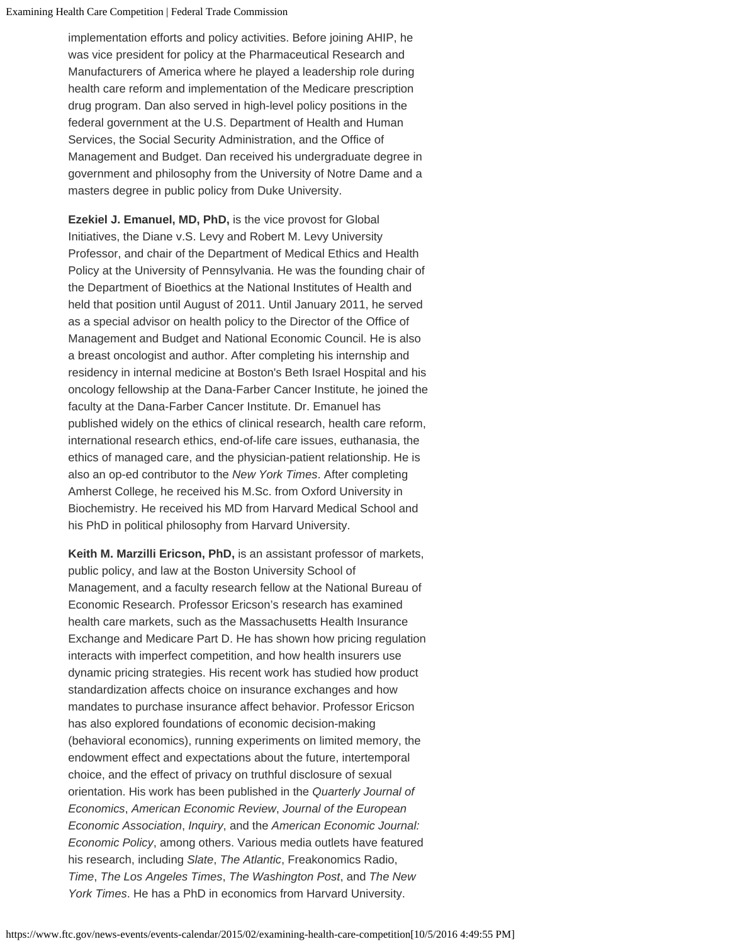Examining Health Care Competition | Federal Trade Commission

implementation efforts and policy activities. Before joining AHIP, he was vice president for policy at the Pharmaceutical Research and Manufacturers of America where he played a leadership role during health care reform and implementation of the Medicare prescription drug program. Dan also served in high-level policy positions in the federal government at the U.S. Department of Health and Human Services, the Social Security Administration, and the Office of Management and Budget. Dan received his undergraduate degree in government and philosophy from the University of Notre Dame and a masters degree in public policy from Duke University.

**Ezekiel J. Emanuel, MD, PhD,** is the vice provost for Global Initiatives, the Diane v.S. Levy and Robert M. Levy University Professor, and chair of the Department of Medical Ethics and Health Policy at the University of Pennsylvania. He was the founding chair of the Department of Bioethics at the National Institutes of Health and held that position until August of 2011. Until January 2011, he served as a special advisor on health policy to the Director of the Office of Management and Budget and National Economic Council. He is also a breast oncologist and author. After completing his internship and residency in internal medicine at Boston's Beth Israel Hospital and his oncology fellowship at the Dana-Farber Cancer Institute, he joined the faculty at the Dana-Farber Cancer Institute. Dr. Emanuel has published widely on the ethics of clinical research, health care reform, international research ethics, end-of-life care issues, euthanasia, the ethics of managed care, and the physician-patient relationship. He is also an op-ed contributor to the *New York Times*. After completing Amherst College, he received his M.Sc. from Oxford University in Biochemistry. He received his MD from Harvard Medical School and his PhD in political philosophy from Harvard University.

**Keith M. Marzilli Ericson, PhD,** is an assistant professor of markets, public policy, and law at the Boston University School of Management, and a faculty research fellow at the National Bureau of Economic Research. Professor Ericson's research has examined health care markets, such as the Massachusetts Health Insurance Exchange and Medicare Part D. He has shown how pricing regulation interacts with imperfect competition, and how health insurers use dynamic pricing strategies. His recent work has studied how product standardization affects choice on insurance exchanges and how mandates to purchase insurance affect behavior. Professor Ericson has also explored foundations of economic decision-making (behavioral economics), running experiments on limited memory, the endowment effect and expectations about the future, intertemporal choice, and the effect of privacy on truthful disclosure of sexual orientation. His work has been published in the *Quarterly Journal of Economics*, *American Economic Review*, *Journal of the European Economic Association*, *Inquiry*, and the *American Economic Journal: Economic Policy*, among others. Various media outlets have featured his research, including *Slate*, *The Atlantic*, Freakonomics Radio, *Time*, *The Los Angeles Times*, *The Washington Post*, and *The New York Times*. He has a PhD in economics from Harvard University.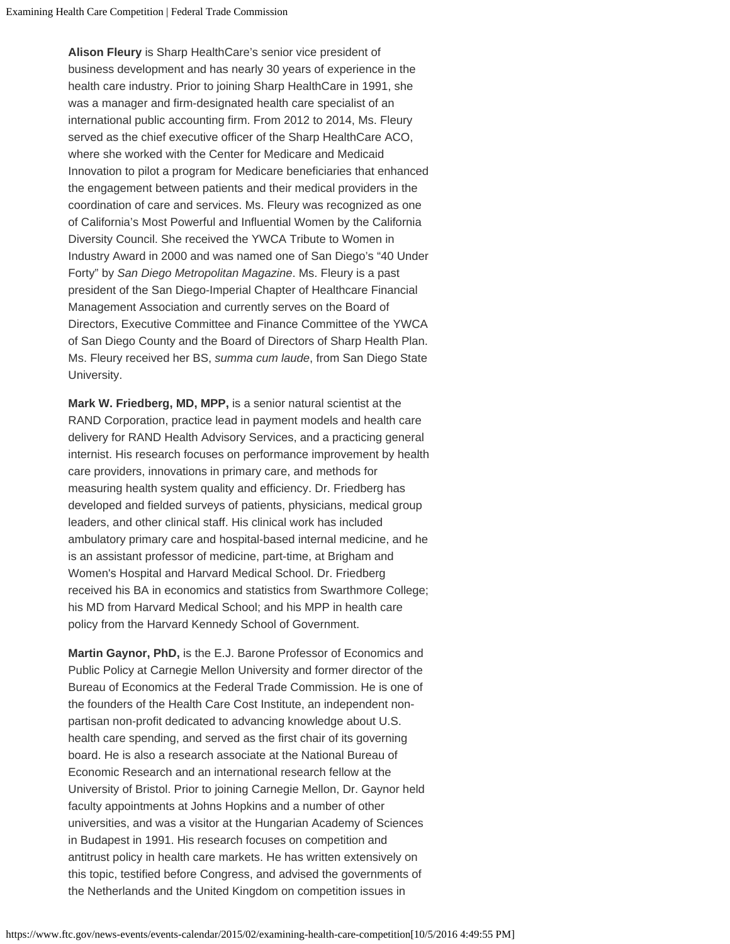**Alison Fleury** is Sharp HealthCare's senior vice president of business development and has nearly 30 years of experience in the health care industry. Prior to joining Sharp HealthCare in 1991, she was a manager and firm-designated health care specialist of an international public accounting firm. From 2012 to 2014, Ms. Fleury served as the chief executive officer of the Sharp HealthCare ACO, where she worked with the Center for Medicare and Medicaid Innovation to pilot a program for Medicare beneficiaries that enhanced the engagement between patients and their medical providers in the coordination of care and services. Ms. Fleury was recognized as one of California's Most Powerful and Influential Women by the California Diversity Council. She received the YWCA Tribute to Women in Industry Award in 2000 and was named one of San Diego's "40 Under Forty" by *San Diego Metropolitan Magazine*. Ms. Fleury is a past president of the San Diego-Imperial Chapter of Healthcare Financial Management Association and currently serves on the Board of Directors, Executive Committee and Finance Committee of the YWCA of San Diego County and the Board of Directors of Sharp Health Plan. Ms. Fleury received her BS, *summa cum laude*, from San Diego State University.

**Mark W. Friedberg, MD, MPP,** is a senior natural scientist at the RAND Corporation, practice lead in payment models and health care delivery for RAND Health Advisory Services, and a practicing general internist. His research focuses on performance improvement by health care providers, innovations in primary care, and methods for measuring health system quality and efficiency. Dr. Friedberg has developed and fielded surveys of patients, physicians, medical group leaders, and other clinical staff. His clinical work has included ambulatory primary care and hospital-based internal medicine, and he is an assistant professor of medicine, part-time, at Brigham and Women's Hospital and Harvard Medical School. Dr. Friedberg received his BA in economics and statistics from Swarthmore College; his MD from Harvard Medical School; and his MPP in health care policy from the Harvard Kennedy School of Government.

**Martin Gaynor, PhD,** is the E.J. Barone Professor of Economics and Public Policy at Carnegie Mellon University and former director of the Bureau of Economics at the Federal Trade Commission. He is one of the founders of the Health Care Cost Institute, an independent nonpartisan non-profit dedicated to advancing knowledge about U.S. health care spending, and served as the first chair of its governing board. He is also a research associate at the National Bureau of Economic Research and an international research fellow at the University of Bristol. Prior to joining Carnegie Mellon, Dr. Gaynor held faculty appointments at Johns Hopkins and a number of other universities, and was a visitor at the Hungarian Academy of Sciences in Budapest in 1991. His research focuses on competition and antitrust policy in health care markets. He has written extensively on this topic, testified before Congress, and advised the governments of the Netherlands and the United Kingdom on competition issues in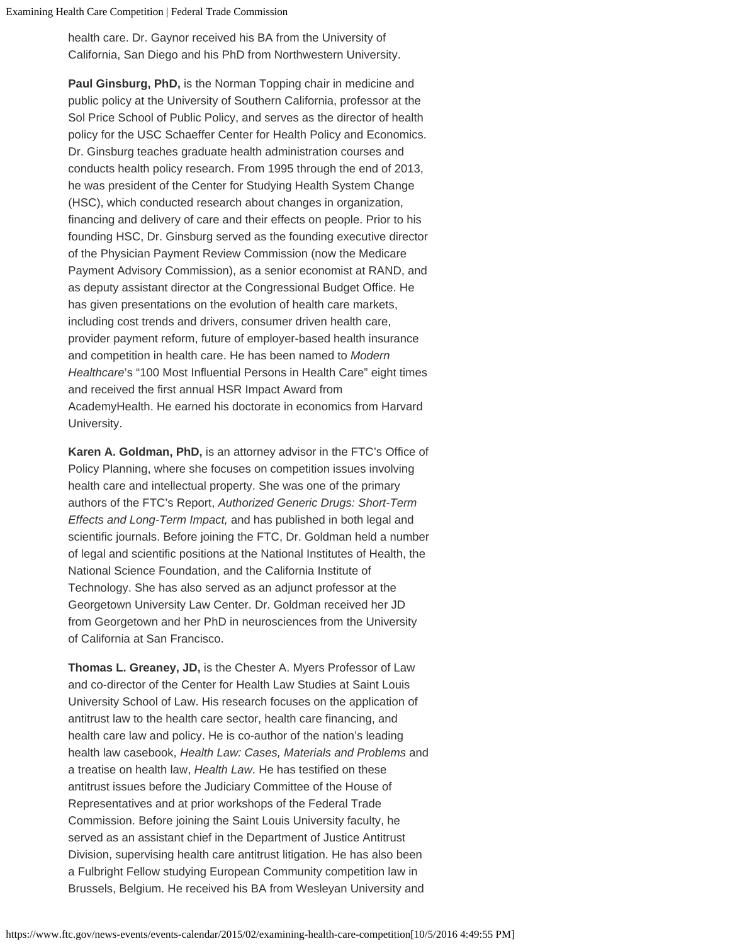health care. Dr. Gaynor received his BA from the University of California, San Diego and his PhD from Northwestern University.

**Paul Ginsburg, PhD,** is the Norman Topping chair in medicine and public policy at the University of Southern California, professor at the Sol Price School of Public Policy, and serves as the director of health policy for the USC Schaeffer Center for Health Policy and Economics. Dr. Ginsburg teaches graduate health administration courses and conducts health policy research. From 1995 through the end of 2013, he was president of the Center for Studying Health System Change (HSC), which conducted research about changes in organization, financing and delivery of care and their effects on people. Prior to his founding HSC, Dr. Ginsburg served as the founding executive director of the Physician Payment Review Commission (now the Medicare Payment Advisory Commission), as a senior economist at RAND, and as deputy assistant director at the Congressional Budget Office. He has given presentations on the evolution of health care markets, including cost trends and drivers, consumer driven health care, provider payment reform, future of employer-based health insurance and competition in health care. He has been named to *Modern Healthcare*'s "100 Most Influential Persons in Health Care" eight times and received the first annual HSR Impact Award from AcademyHealth. He earned his doctorate in economics from Harvard University.

**Karen A. Goldman, PhD,** is an attorney advisor in the FTC's Office of Policy Planning, where she focuses on competition issues involving health care and intellectual property. She was one of the primary authors of the FTC's Report, *Authorized Generic Drugs: Short-Term Effects and Long-Term Impact,* and has published in both legal and scientific journals. Before joining the FTC, Dr. Goldman held a number of legal and scientific positions at the National Institutes of Health, the National Science Foundation, and the California Institute of Technology. She has also served as an adjunct professor at the Georgetown University Law Center. Dr. Goldman received her JD from Georgetown and her PhD in neurosciences from the University of California at San Francisco.

**Thomas L. Greaney, JD,** is the Chester A. Myers Professor of Law and co-director of the Center for Health Law Studies at Saint Louis University School of Law. His research focuses on the application of antitrust law to the health care sector, health care financing, and health care law and policy. He is co-author of the nation's leading health law casebook, *Health Law: Cases, Materials and Problems* and a treatise on health law, *Health Law*. He has testified on these antitrust issues before the Judiciary Committee of the House of Representatives and at prior workshops of the Federal Trade Commission. Before joining the Saint Louis University faculty, he served as an assistant chief in the Department of Justice Antitrust Division, supervising health care antitrust litigation. He has also been a Fulbright Fellow studying European Community competition law in Brussels, Belgium. He received his BA from Wesleyan University and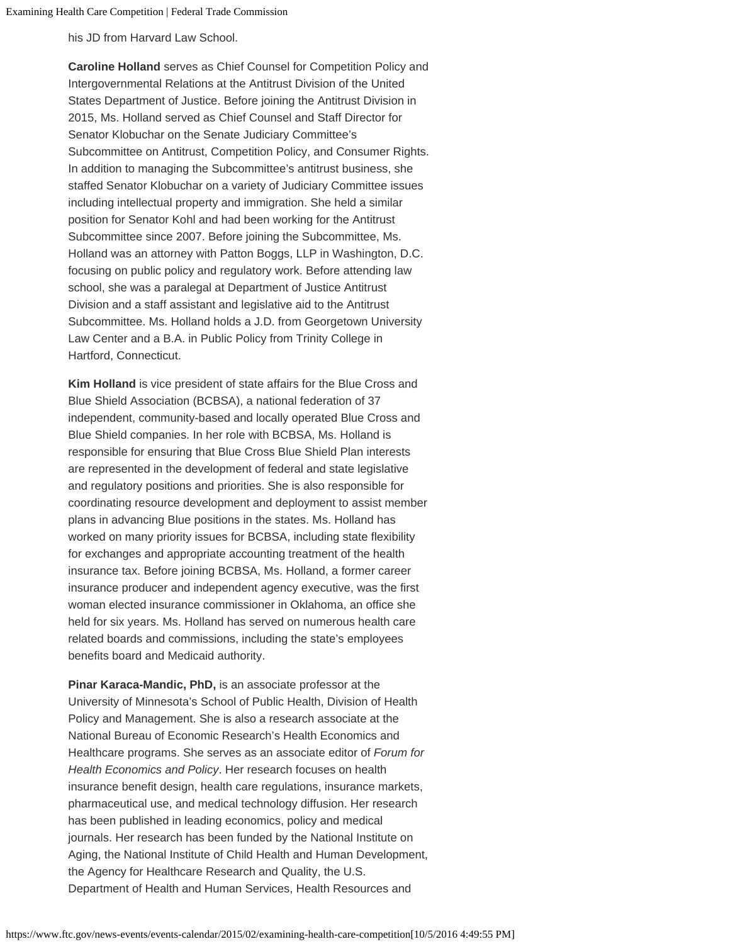his JD from Harvard Law School.

**Caroline Holland** serves as Chief Counsel for Competition Policy and Intergovernmental Relations at the Antitrust Division of the United States Department of Justice. Before joining the Antitrust Division in 2015, Ms. Holland served as Chief Counsel and Staff Director for Senator Klobuchar on the Senate Judiciary Committee's Subcommittee on Antitrust, Competition Policy, and Consumer Rights. In addition to managing the Subcommittee's antitrust business, she staffed Senator Klobuchar on a variety of Judiciary Committee issues including intellectual property and immigration. She held a similar position for Senator Kohl and had been working for the Antitrust Subcommittee since 2007. Before joining the Subcommittee, Ms. Holland was an attorney with Patton Boggs, LLP in Washington, D.C. focusing on public policy and regulatory work. Before attending law school, she was a paralegal at Department of Justice Antitrust Division and a staff assistant and legislative aid to the Antitrust Subcommittee. Ms. Holland holds a J.D. from Georgetown University Law Center and a B.A. in Public Policy from Trinity College in Hartford, Connecticut.

**Kim Holland** is vice president of state affairs for the Blue Cross and Blue Shield Association (BCBSA), a national federation of 37 independent, community-based and locally operated Blue Cross and Blue Shield companies. In her role with BCBSA, Ms. Holland is responsible for ensuring that Blue Cross Blue Shield Plan interests are represented in the development of federal and state legislative and regulatory positions and priorities. She is also responsible for coordinating resource development and deployment to assist member plans in advancing Blue positions in the states. Ms. Holland has worked on many priority issues for BCBSA, including state flexibility for exchanges and appropriate accounting treatment of the health insurance tax. Before joining BCBSA, Ms. Holland, a former career insurance producer and independent agency executive, was the first woman elected insurance commissioner in Oklahoma, an office she held for six years. Ms. Holland has served on numerous health care related boards and commissions, including the state's employees benefits board and Medicaid authority.

**Pinar Karaca-Mandic, PhD,** is an associate professor at the University of Minnesota's School of Public Health, Division of Health Policy and Management. She is also a research associate at the National Bureau of Economic Research's Health Economics and Healthcare programs. She serves as an associate editor of *Forum for Health Economics and Policy*. Her research focuses on health insurance benefit design, health care regulations, insurance markets, pharmaceutical use, and medical technology diffusion. Her research has been published in leading economics, policy and medical journals. Her research has been funded by the National Institute on Aging, the National Institute of Child Health and Human Development, the Agency for Healthcare Research and Quality, the U.S. Department of Health and Human Services, Health Resources and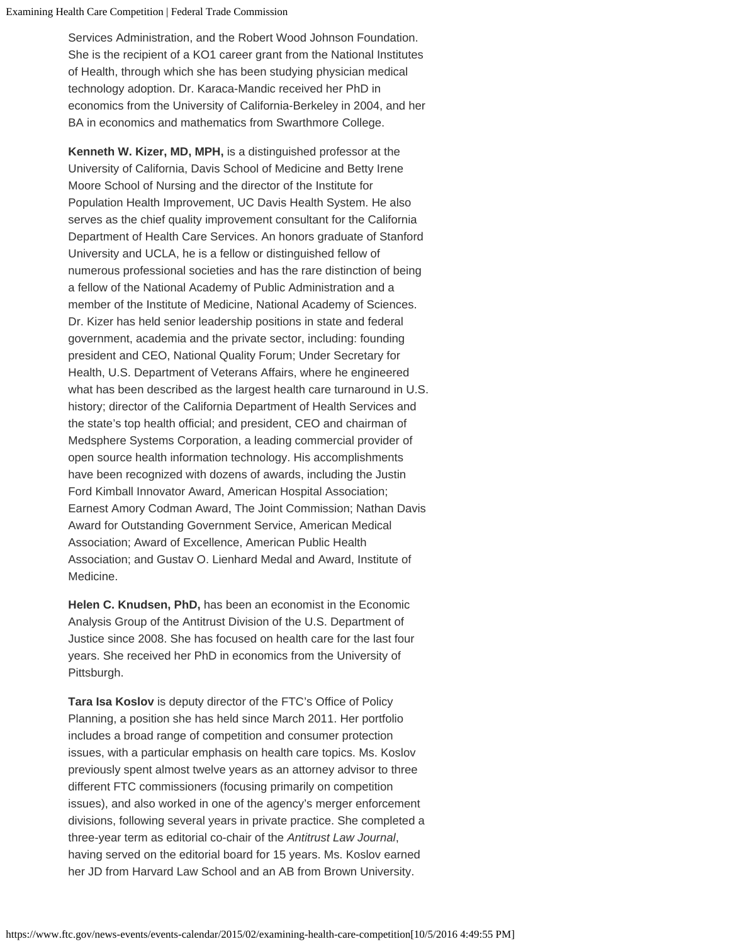Services Administration, and the Robert Wood Johnson Foundation. She is the recipient of a KO1 career grant from the National Institutes of Health, through which she has been studying physician medical technology adoption. Dr. Karaca-Mandic received her PhD in economics from the University of California-Berkeley in 2004, and her BA in economics and mathematics from Swarthmore College.

**Kenneth W. Kizer, MD, MPH,** is a distinguished professor at the University of California, Davis School of Medicine and Betty Irene Moore School of Nursing and the director of the Institute for Population Health Improvement, UC Davis Health System. He also serves as the chief quality improvement consultant for the California Department of Health Care Services. An honors graduate of Stanford University and UCLA, he is a fellow or distinguished fellow of numerous professional societies and has the rare distinction of being a fellow of the National Academy of Public Administration and a member of the Institute of Medicine, National Academy of Sciences. Dr. Kizer has held senior leadership positions in state and federal government, academia and the private sector, including: founding president and CEO, National Quality Forum; Under Secretary for Health, U.S. Department of Veterans Affairs, where he engineered what has been described as the largest health care turnaround in U.S. history; director of the California Department of Health Services and the state's top health official; and president, CEO and chairman of Medsphere Systems Corporation, a leading commercial provider of open source health information technology. His accomplishments have been recognized with dozens of awards, including the Justin Ford Kimball Innovator Award, American Hospital Association; Earnest Amory Codman Award, The Joint Commission; Nathan Davis Award for Outstanding Government Service, American Medical Association; Award of Excellence, American Public Health Association; and Gustav O. Lienhard Medal and Award, Institute of Medicine.

**Helen C. Knudsen, PhD,** has been an economist in the Economic Analysis Group of the Antitrust Division of the U.S. Department of Justice since 2008. She has focused on health care for the last four years. She received her PhD in economics from the University of Pittsburgh.

**Tara Isa Koslov** is deputy director of the FTC's Office of Policy Planning, a position she has held since March 2011. Her portfolio includes a broad range of competition and consumer protection issues, with a particular emphasis on health care topics. Ms. Koslov previously spent almost twelve years as an attorney advisor to three different FTC commissioners (focusing primarily on competition issues), and also worked in one of the agency's merger enforcement divisions, following several years in private practice. She completed a three-year term as editorial co-chair of the *Antitrust Law Journal*, having served on the editorial board for 15 years. Ms. Koslov earned her JD from Harvard Law School and an AB from Brown University.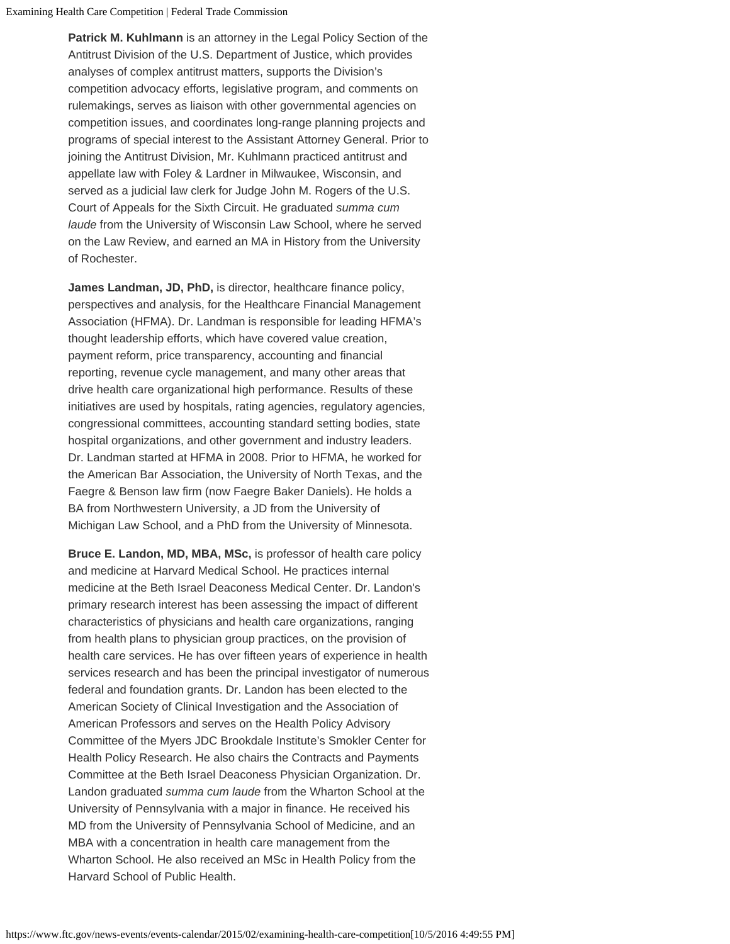**Patrick M. Kuhlmann** is an attorney in the Legal Policy Section of the Antitrust Division of the U.S. Department of Justice, which provides analyses of complex antitrust matters, supports the Division's competition advocacy efforts, legislative program, and comments on rulemakings, serves as liaison with other governmental agencies on competition issues, and coordinates long-range planning projects and programs of special interest to the Assistant Attorney General. Prior to joining the Antitrust Division, Mr. Kuhlmann practiced antitrust and appellate law with Foley & Lardner in Milwaukee, Wisconsin, and served as a judicial law clerk for Judge John M. Rogers of the U.S. Court of Appeals for the Sixth Circuit. He graduated *summa cum laude* from the University of Wisconsin Law School, where he served on the Law Review, and earned an MA in History from the University of Rochester.

**James Landman, JD, PhD,** is director, healthcare finance policy, perspectives and analysis, for the Healthcare Financial Management Association (HFMA). Dr. Landman is responsible for leading HFMA's thought leadership efforts, which have covered value creation, payment reform, price transparency, accounting and financial reporting, revenue cycle management, and many other areas that drive health care organizational high performance. Results of these initiatives are used by hospitals, rating agencies, regulatory agencies, congressional committees, accounting standard setting bodies, state hospital organizations, and other government and industry leaders. Dr. Landman started at HFMA in 2008. Prior to HFMA, he worked for the American Bar Association, the University of North Texas, and the Faegre & Benson law firm (now Faegre Baker Daniels). He holds a BA from Northwestern University, a JD from the University of Michigan Law School, and a PhD from the University of Minnesota.

**Bruce E. Landon, MD, MBA, MSc,** is professor of health care policy and medicine at Harvard Medical School. He practices internal medicine at the Beth Israel Deaconess Medical Center. Dr. Landon's primary research interest has been assessing the impact of different characteristics of physicians and health care organizations, ranging from health plans to physician group practices, on the provision of health care services. He has over fifteen years of experience in health services research and has been the principal investigator of numerous federal and foundation grants. Dr. Landon has been elected to the American Society of Clinical Investigation and the Association of American Professors and serves on the Health Policy Advisory Committee of the Myers JDC Brookdale Institute's Smokler Center for Health Policy Research. He also chairs the Contracts and Payments Committee at the Beth Israel Deaconess Physician Organization. Dr. Landon graduated *summa cum laude* from the Wharton School at the University of Pennsylvania with a major in finance. He received his MD from the University of Pennsylvania School of Medicine, and an MBA with a concentration in health care management from the Wharton School. He also received an MSc in Health Policy from the Harvard School of Public Health.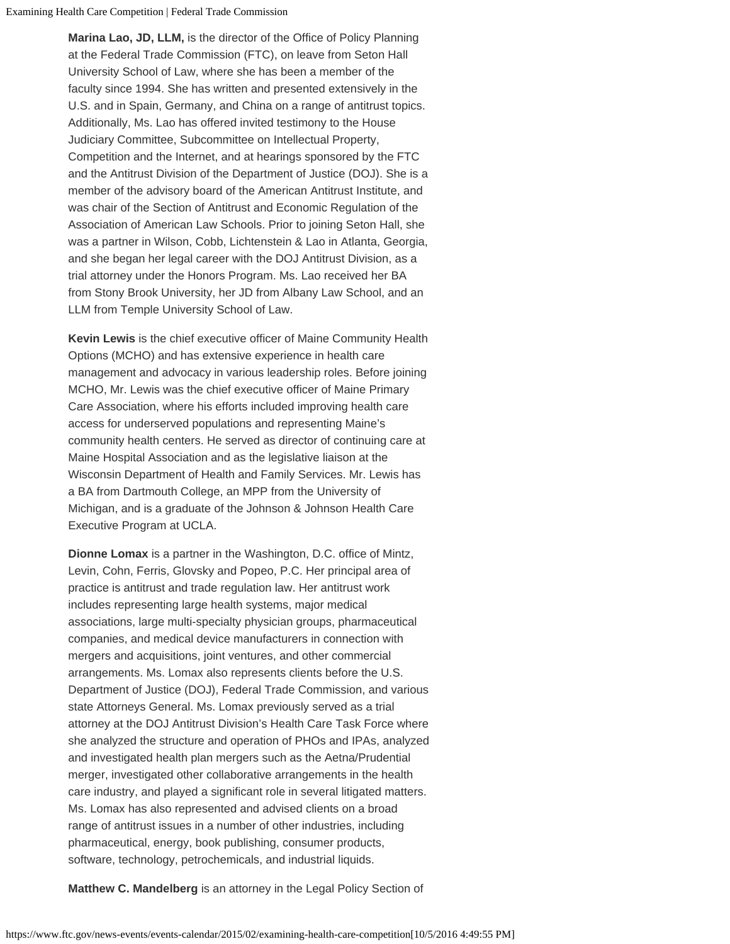Examining Health Care Competition | Federal Trade Commission

**Marina Lao, JD, LLM,** is the director of the Office of Policy Planning at the Federal Trade Commission (FTC), on leave from Seton Hall University School of Law, where she has been a member of the faculty since 1994. She has written and presented extensively in the U.S. and in Spain, Germany, and China on a range of antitrust topics. Additionally, Ms. Lao has offered invited testimony to the House Judiciary Committee, Subcommittee on Intellectual Property, Competition and the Internet, and at hearings sponsored by the FTC and the Antitrust Division of the Department of Justice (DOJ). She is a member of the advisory board of the American Antitrust Institute, and was chair of the Section of Antitrust and Economic Regulation of the Association of American Law Schools. Prior to joining Seton Hall, she was a partner in Wilson, Cobb, Lichtenstein & Lao in Atlanta, Georgia, and she began her legal career with the DOJ Antitrust Division, as a trial attorney under the Honors Program. Ms. Lao received her BA from Stony Brook University, her JD from Albany Law School, and an LLM from Temple University School of Law.

**Kevin Lewis** is the chief executive officer of Maine Community Health Options (MCHO) and has extensive experience in health care management and advocacy in various leadership roles. Before joining MCHO, Mr. Lewis was the chief executive officer of Maine Primary Care Association, where his efforts included improving health care access for underserved populations and representing Maine's community health centers. He served as director of continuing care at Maine Hospital Association and as the legislative liaison at the Wisconsin Department of Health and Family Services. Mr. Lewis has a BA from Dartmouth College, an MPP from the University of Michigan, and is a graduate of the Johnson & Johnson Health Care Executive Program at UCLA.

**Dionne Lomax** is a partner in the Washington, D.C. office of Mintz, Levin, Cohn, Ferris, Glovsky and Popeo, P.C. Her principal area of practice is antitrust and trade regulation law. Her antitrust work includes representing large health systems, major medical associations, large multi-specialty physician groups, pharmaceutical companies, and medical device manufacturers in connection with mergers and acquisitions, joint ventures, and other commercial arrangements. Ms. Lomax also represents clients before the U.S. Department of Justice (DOJ), Federal Trade Commission, and various state Attorneys General. Ms. Lomax previously served as a trial attorney at the DOJ Antitrust Division's Health Care Task Force where she analyzed the structure and operation of PHOs and IPAs, analyzed and investigated health plan mergers such as the Aetna/Prudential merger, investigated other collaborative arrangements in the health care industry, and played a significant role in several litigated matters. Ms. Lomax has also represented and advised clients on a broad range of antitrust issues in a number of other industries, including pharmaceutical, energy, book publishing, consumer products, software, technology, petrochemicals, and industrial liquids.

**Matthew C. Mandelberg** is an attorney in the Legal Policy Section of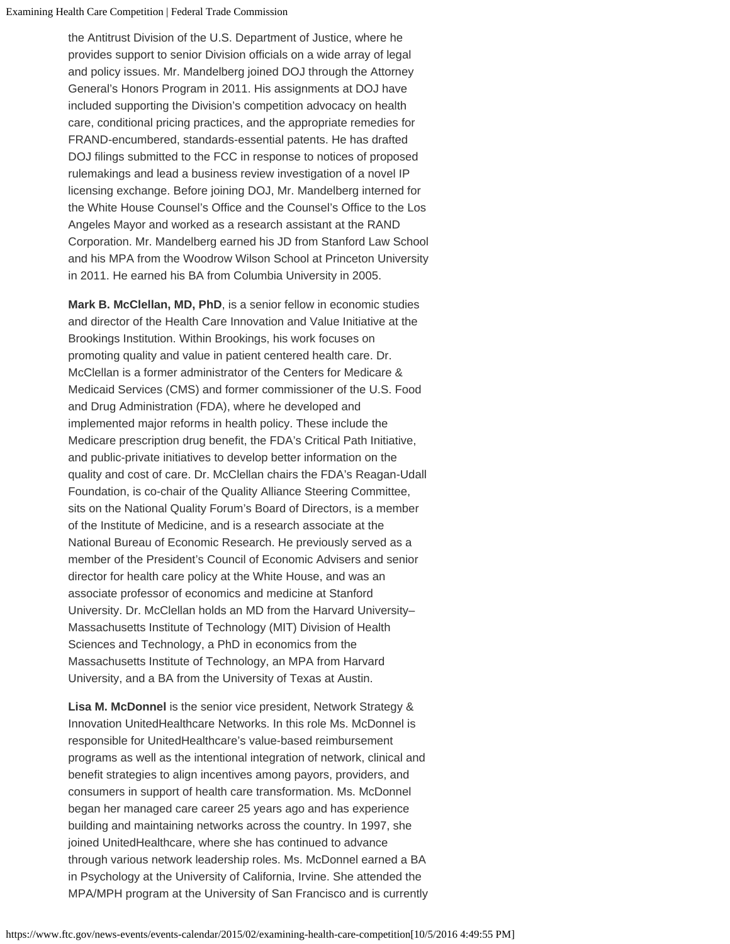the Antitrust Division of the U.S. Department of Justice, where he provides support to senior Division officials on a wide array of legal and policy issues. Mr. Mandelberg joined DOJ through the Attorney General's Honors Program in 2011. His assignments at DOJ have included supporting the Division's competition advocacy on health care, conditional pricing practices, and the appropriate remedies for FRAND-encumbered, standards-essential patents. He has drafted DOJ filings submitted to the FCC in response to notices of proposed rulemakings and lead a business review investigation of a novel IP licensing exchange. Before joining DOJ, Mr. Mandelberg interned for the White House Counsel's Office and the Counsel's Office to the Los Angeles Mayor and worked as a research assistant at the RAND Corporation. Mr. Mandelberg earned his JD from Stanford Law School and his MPA from the Woodrow Wilson School at Princeton University in 2011. He earned his BA from Columbia University in 2005.

**Mark B. McClellan, MD, PhD**, is a senior fellow in economic studies and director of the Health Care Innovation and Value Initiative at the Brookings Institution. Within Brookings, his work focuses on promoting quality and value in patient centered health care. Dr. McClellan is a former administrator of the Centers for Medicare & Medicaid Services (CMS) and former commissioner of the U.S. Food and Drug Administration (FDA), where he developed and implemented major reforms in health policy. These include the Medicare prescription drug benefit, the FDA's Critical Path Initiative, and public-private initiatives to develop better information on the quality and cost of care. Dr. McClellan chairs the FDA's Reagan-Udall Foundation, is co-chair of the Quality Alliance Steering Committee, sits on the National Quality Forum's Board of Directors, is a member of the Institute of Medicine, and is a research associate at the National Bureau of Economic Research. He previously served as a member of the President's Council of Economic Advisers and senior director for health care policy at the White House, and was an associate professor of economics and medicine at Stanford University. Dr. McClellan holds an MD from the Harvard University– Massachusetts Institute of Technology (MIT) Division of Health Sciences and Technology, a PhD in economics from the Massachusetts Institute of Technology, an MPA from Harvard University, and a BA from the University of Texas at Austin.

**Lisa M. McDonnel** is the senior vice president, Network Strategy & Innovation UnitedHealthcare Networks. In this role Ms. McDonnel is responsible for UnitedHealthcare's value-based reimbursement programs as well as the intentional integration of network, clinical and benefit strategies to align incentives among payors, providers, and consumers in support of health care transformation. Ms. McDonnel began her managed care career 25 years ago and has experience building and maintaining networks across the country. In 1997, she joined UnitedHealthcare, where she has continued to advance through various network leadership roles. Ms. McDonnel earned a BA in Psychology at the University of California, Irvine. She attended the MPA/MPH program at the University of San Francisco and is currently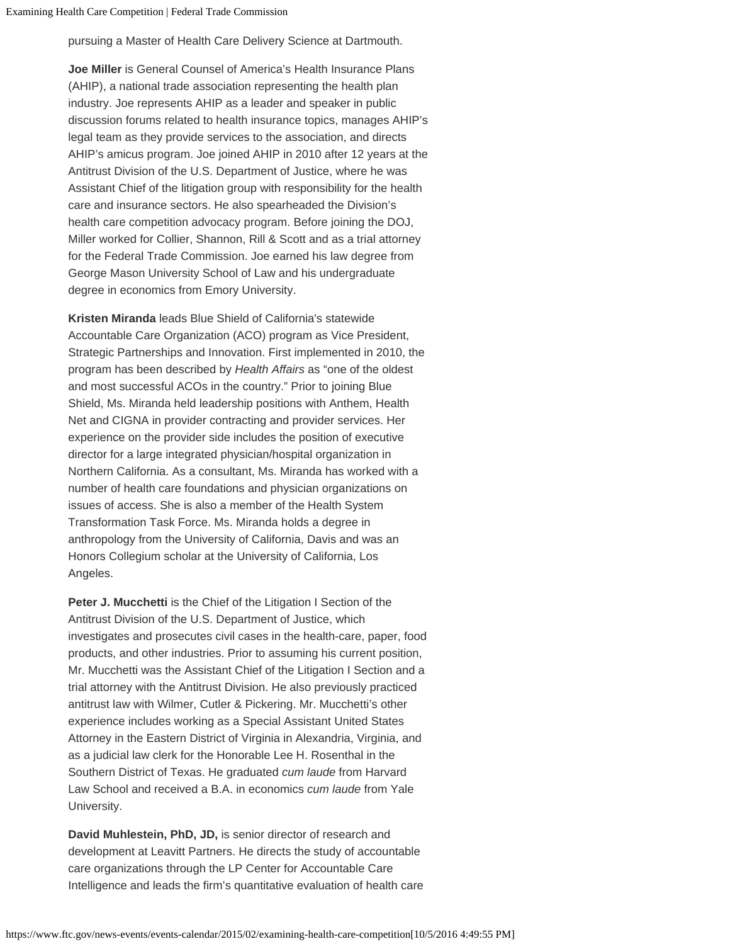pursuing a Master of Health Care Delivery Science at Dartmouth.

**Joe Miller** is General Counsel of America's Health Insurance Plans (AHIP), a national trade association representing the health plan industry. Joe represents AHIP as a leader and speaker in public discussion forums related to health insurance topics, manages AHIP's legal team as they provide services to the association, and directs AHIP's amicus program. Joe joined AHIP in 2010 after 12 years at the Antitrust Division of the U.S. Department of Justice, where he was Assistant Chief of the litigation group with responsibility for the health care and insurance sectors. He also spearheaded the Division's health care competition advocacy program. Before joining the DOJ, Miller worked for Collier, Shannon, Rill & Scott and as a trial attorney for the Federal Trade Commission. Joe earned his law degree from George Mason University School of Law and his undergraduate degree in economics from Emory University.

**Kristen Miranda** leads Blue Shield of California's statewide Accountable Care Organization (ACO) program as Vice President, Strategic Partnerships and Innovation. First implemented in 2010, the program has been described by *Health Affairs* as "one of the oldest and most successful ACOs in the country." Prior to joining Blue Shield, Ms. Miranda held leadership positions with Anthem, Health Net and CIGNA in provider contracting and provider services. Her experience on the provider side includes the position of executive director for a large integrated physician/hospital organization in Northern California. As a consultant, Ms. Miranda has worked with a number of health care foundations and physician organizations on issues of access. She is also a member of the Health System Transformation Task Force. Ms. Miranda holds a degree in anthropology from the University of California, Davis and was an Honors Collegium scholar at the University of California, Los Angeles.

**Peter J. Mucchetti** is the Chief of the Litigation I Section of the Antitrust Division of the U.S. Department of Justice, which investigates and prosecutes civil cases in the health-care, paper, food products, and other industries. Prior to assuming his current position, Mr. Mucchetti was the Assistant Chief of the Litigation I Section and a trial attorney with the Antitrust Division. He also previously practiced antitrust law with Wilmer, Cutler & Pickering. Mr. Mucchetti's other experience includes working as a Special Assistant United States Attorney in the Eastern District of Virginia in Alexandria, Virginia, and as a judicial law clerk for the Honorable Lee H. Rosenthal in the Southern District of Texas. He graduated *cum laude* from Harvard Law School and received a B.A. in economics *cum laude* from Yale University.

**David Muhlestein, PhD, JD,** is senior director of research and development at Leavitt Partners. He directs the study of accountable care organizations through the LP Center for Accountable Care Intelligence and leads the firm's quantitative evaluation of health care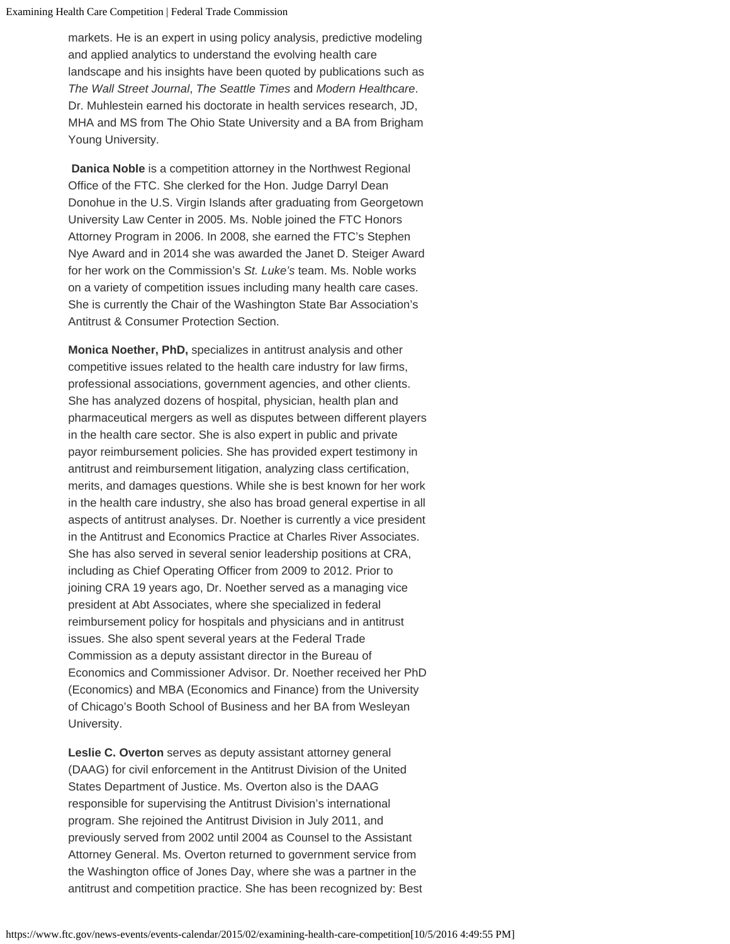markets. He is an expert in using policy analysis, predictive modeling and applied analytics to understand the evolving health care landscape and his insights have been quoted by publications such as *The Wall Street Journal*, *The Seattle Times* and *Modern Healthcare*. Dr. Muhlestein earned his doctorate in health services research, JD, MHA and MS from The Ohio State University and a BA from Brigham Young University.

**Danica Noble** is a competition attorney in the Northwest Regional Office of the FTC. She clerked for the Hon. Judge Darryl Dean Donohue in the U.S. Virgin Islands after graduating from Georgetown University Law Center in 2005. Ms. Noble joined the FTC Honors Attorney Program in 2006. In 2008, she earned the FTC's Stephen Nye Award and in 2014 she was awarded the Janet D. Steiger Award for her work on the Commission's *St. Luke's* team. Ms. Noble works on a variety of competition issues including many health care cases. She is currently the Chair of the Washington State Bar Association's Antitrust & Consumer Protection Section.

**Monica Noether, PhD,** specializes in antitrust analysis and other competitive issues related to the health care industry for law firms, professional associations, government agencies, and other clients. She has analyzed dozens of hospital, physician, health plan and pharmaceutical mergers as well as disputes between different players in the health care sector. She is also expert in public and private payor reimbursement policies. She has provided expert testimony in antitrust and reimbursement litigation, analyzing class certification, merits, and damages questions. While she is best known for her work in the health care industry, she also has broad general expertise in all aspects of antitrust analyses. Dr. Noether is currently a vice president in the Antitrust and Economics Practice at Charles River Associates. She has also served in several senior leadership positions at CRA, including as Chief Operating Officer from 2009 to 2012. Prior to joining CRA 19 years ago, Dr. Noether served as a managing vice president at Abt Associates, where she specialized in federal reimbursement policy for hospitals and physicians and in antitrust issues. She also spent several years at the Federal Trade Commission as a deputy assistant director in the Bureau of Economics and Commissioner Advisor. Dr. Noether received her PhD (Economics) and MBA (Economics and Finance) from the University of Chicago's Booth School of Business and her BA from Wesleyan University.

**Leslie C. Overton** serves as deputy assistant attorney general (DAAG) for civil enforcement in the Antitrust Division of the United States Department of Justice. Ms. Overton also is the DAAG responsible for supervising the Antitrust Division's international program. She rejoined the Antitrust Division in July 2011, and previously served from 2002 until 2004 as Counsel to the Assistant Attorney General. Ms. Overton returned to government service from the Washington office of Jones Day, where she was a partner in the antitrust and competition practice. She has been recognized by: Best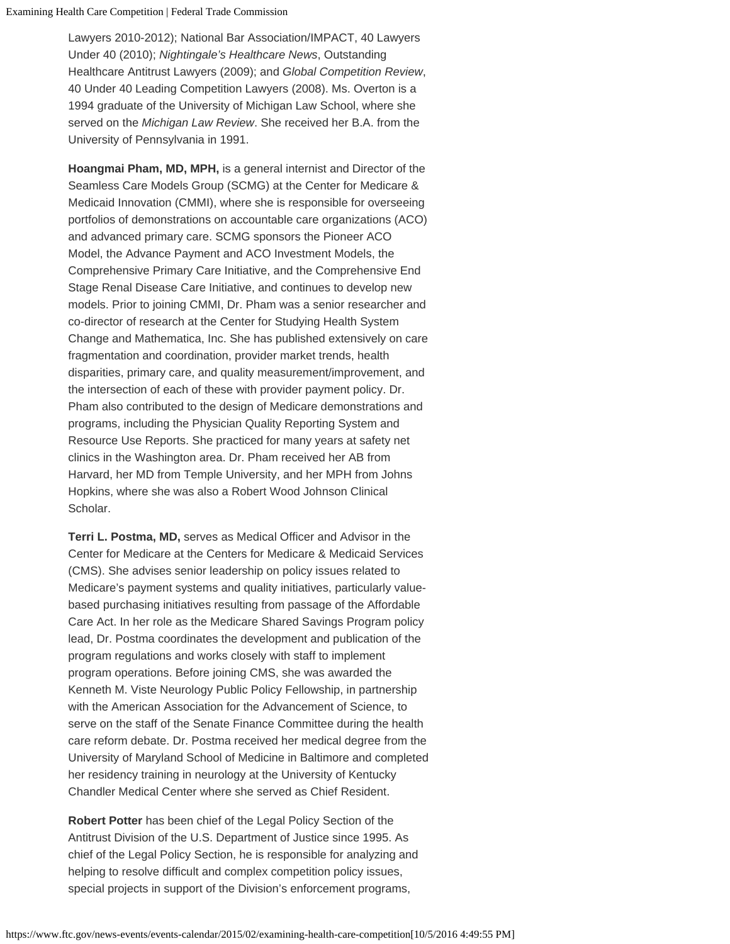Lawyers 2010-2012); National Bar Association/IMPACT, 40 Lawyers Under 40 (2010); *Nightingale's Healthcare News*, Outstanding Healthcare Antitrust Lawyers (2009); and *Global Competition Review*, 40 Under 40 Leading Competition Lawyers (2008). Ms. Overton is a 1994 graduate of the University of Michigan Law School, where she served on the *Michigan Law Review*. She received her B.A. from the University of Pennsylvania in 1991.

**Hoangmai Pham, MD, MPH,** is a general internist and Director of the Seamless Care Models Group (SCMG) at the Center for Medicare & Medicaid Innovation (CMMI), where she is responsible for overseeing portfolios of demonstrations on accountable care organizations (ACO) and advanced primary care. SCMG sponsors the Pioneer ACO Model, the Advance Payment and ACO Investment Models, the Comprehensive Primary Care Initiative, and the Comprehensive End Stage Renal Disease Care Initiative, and continues to develop new models. Prior to joining CMMI, Dr. Pham was a senior researcher and co-director of research at the Center for Studying Health System Change and Mathematica, Inc. She has published extensively on care fragmentation and coordination, provider market trends, health disparities, primary care, and quality measurement/improvement, and the intersection of each of these with provider payment policy. Dr. Pham also contributed to the design of Medicare demonstrations and programs, including the Physician Quality Reporting System and Resource Use Reports. She practiced for many years at safety net clinics in the Washington area. Dr. Pham received her AB from Harvard, her MD from Temple University, and her MPH from Johns Hopkins, where she was also a Robert Wood Johnson Clinical Scholar.

**Terri L. Postma, MD,** serves as Medical Officer and Advisor in the Center for Medicare at the Centers for Medicare & Medicaid Services (CMS). She advises senior leadership on policy issues related to Medicare's payment systems and quality initiatives, particularly valuebased purchasing initiatives resulting from passage of the Affordable Care Act. In her role as the Medicare Shared Savings Program policy lead, Dr. Postma coordinates the development and publication of the program regulations and works closely with staff to implement program operations. Before joining CMS, she was awarded the Kenneth M. Viste Neurology Public Policy Fellowship, in partnership with the American Association for the Advancement of Science, to serve on the staff of the Senate Finance Committee during the health care reform debate. Dr. Postma received her medical degree from the University of Maryland School of Medicine in Baltimore and completed her residency training in neurology at the University of Kentucky Chandler Medical Center where she served as Chief Resident.

**Robert Potter** has been chief of the Legal Policy Section of the Antitrust Division of the U.S. Department of Justice since 1995. As chief of the Legal Policy Section, he is responsible for analyzing and helping to resolve difficult and complex competition policy issues, special projects in support of the Division's enforcement programs,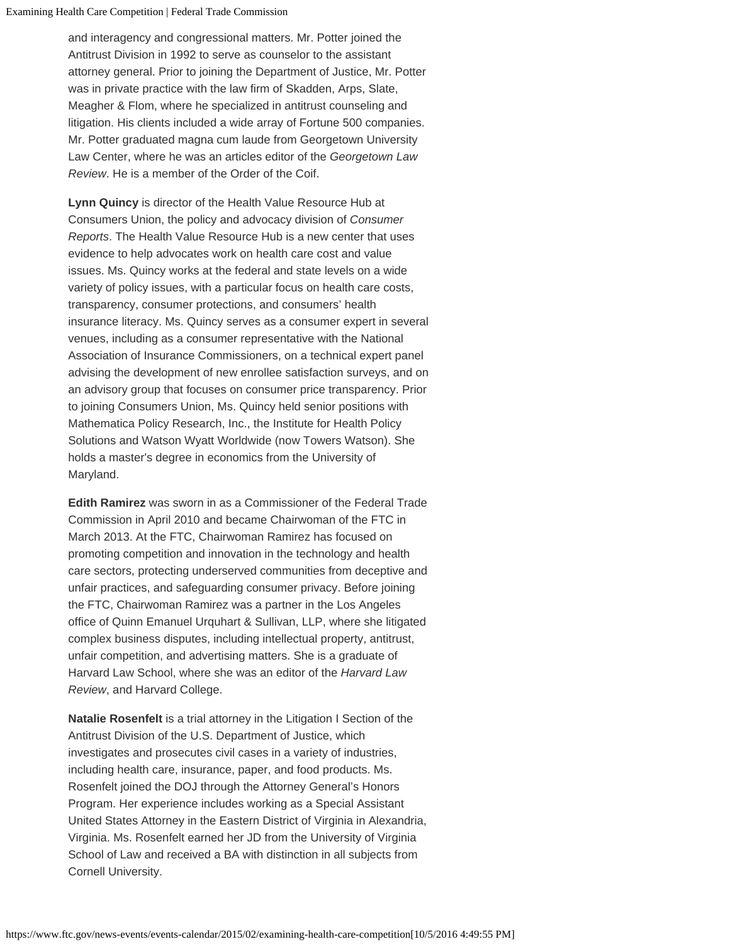and interagency and congressional matters. Mr. Potter joined the Antitrust Division in 1992 to serve as counselor to the assistant attorney general. Prior to joining the Department of Justice, Mr. Potter was in private practice with the law firm of Skadden, Arps, Slate, Meagher & Flom, where he specialized in antitrust counseling and litigation. His clients included a wide array of Fortune 500 companies. Mr. Potter graduated magna cum laude from Georgetown University Law Center, where he was an articles editor of the *Georgetown Law Review*. He is a member of the Order of the Coif.

**Lynn Quincy** is director of the Health Value Resource Hub at Consumers Union, the policy and advocacy division of *Consumer Reports*. The Health Value Resource Hub is a new center that uses evidence to help advocates work on health care cost and value issues. Ms. Quincy works at the federal and state levels on a wide variety of policy issues, with a particular focus on health care costs, transparency, consumer protections, and consumers' health insurance literacy. Ms. Quincy serves as a consumer expert in several venues, including as a consumer representative with the National Association of Insurance Commissioners, on a technical expert panel advising the development of new enrollee satisfaction surveys, and on an advisory group that focuses on consumer price transparency. Prior to joining Consumers Union, Ms. Quincy held senior positions with Mathematica Policy Research, Inc., the Institute for Health Policy Solutions and Watson Wyatt Worldwide (now Towers Watson). She holds a master's degree in economics from the University of Maryland.

**Edith Ramirez** was sworn in as a Commissioner of the Federal Trade Commission in April 2010 and became Chairwoman of the FTC in March 2013. At the FTC, Chairwoman Ramirez has focused on promoting competition and innovation in the technology and health care sectors, protecting underserved communities from deceptive and unfair practices, and safeguarding consumer privacy. Before joining the FTC, Chairwoman Ramirez was a partner in the Los Angeles office of Quinn Emanuel Urquhart & Sullivan, LLP, where she litigated complex business disputes, including intellectual property, antitrust, unfair competition, and advertising matters. She is a graduate of Harvard Law School, where she was an editor of the *Harvard Law Review*, and Harvard College.

**Natalie Rosenfelt** is a trial attorney in the Litigation I Section of the Antitrust Division of the U.S. Department of Justice, which investigates and prosecutes civil cases in a variety of industries, including health care, insurance, paper, and food products. Ms. Rosenfelt joined the DOJ through the Attorney General's Honors Program. Her experience includes working as a Special Assistant United States Attorney in the Eastern District of Virginia in Alexandria, Virginia. Ms. Rosenfelt earned her JD from the University of Virginia School of Law and received a BA with distinction in all subjects from Cornell University.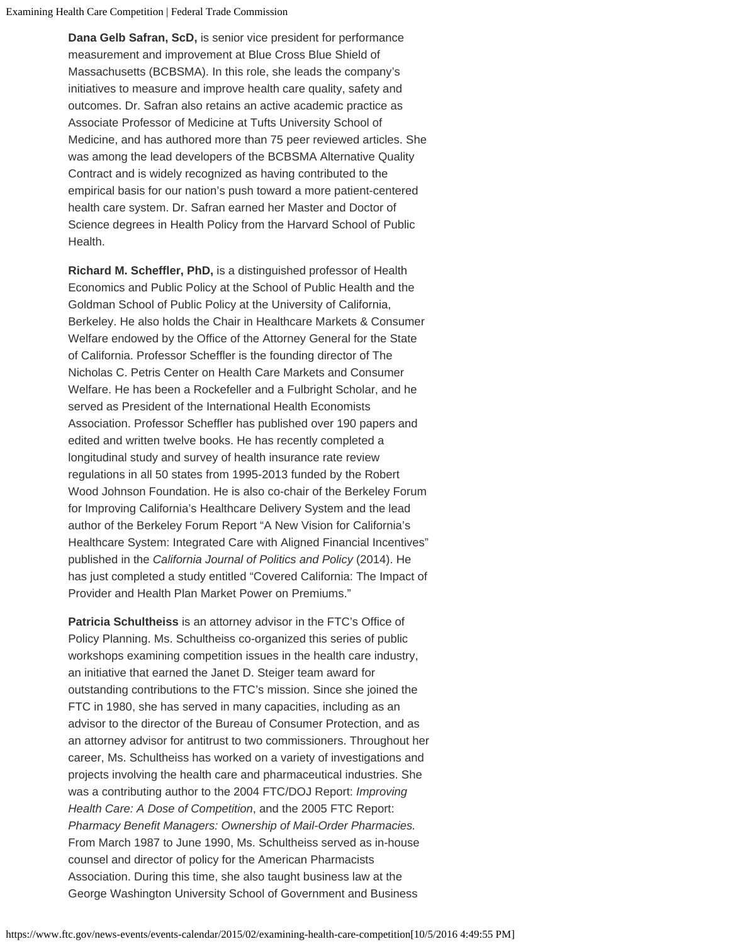Examining Health Care Competition | Federal Trade Commission

**Dana Gelb Safran, ScD,** is senior vice president for performance measurement and improvement at Blue Cross Blue Shield of Massachusetts (BCBSMA). In this role, she leads the company's initiatives to measure and improve health care quality, safety and outcomes. Dr. Safran also retains an active academic practice as Associate Professor of Medicine at Tufts University School of Medicine, and has authored more than 75 peer reviewed articles. She was among the lead developers of the BCBSMA Alternative Quality Contract and is widely recognized as having contributed to the empirical basis for our nation's push toward a more patient-centered health care system. Dr. Safran earned her Master and Doctor of Science degrees in Health Policy from the Harvard School of Public Health.

**Richard M. Scheffler, PhD,** is a distinguished professor of Health Economics and Public Policy at the School of Public Health and the Goldman School of Public Policy at the University of California, Berkeley. He also holds the Chair in Healthcare Markets & Consumer Welfare endowed by the Office of the Attorney General for the State of California. Professor Scheffler is the founding director of The Nicholas C. Petris Center on Health Care Markets and Consumer Welfare. He has been a Rockefeller and a Fulbright Scholar, and he served as President of the International Health Economists Association. Professor Scheffler has published over 190 papers and edited and written twelve books. He has recently completed a longitudinal study and survey of health insurance rate review regulations in all 50 states from 1995-2013 funded by the Robert Wood Johnson Foundation. He is also co-chair of the Berkeley Forum for Improving California's Healthcare Delivery System and the lead author of the Berkeley Forum Report "A New Vision for California's Healthcare System: Integrated Care with Aligned Financial Incentives" published in the *California Journal of Politics and Policy* (2014). He has just completed a study entitled "Covered California: The Impact of Provider and Health Plan Market Power on Premiums."

**Patricia Schultheiss** is an attorney advisor in the FTC's Office of Policy Planning. Ms. Schultheiss co-organized this series of public workshops examining competition issues in the health care industry, an initiative that earned the Janet D. Steiger team award for outstanding contributions to the FTC's mission. Since she joined the FTC in 1980, she has served in many capacities, including as an advisor to the director of the Bureau of Consumer Protection, and as an attorney advisor for antitrust to two commissioners. Throughout her career, Ms. Schultheiss has worked on a variety of investigations and projects involving the health care and pharmaceutical industries. She was a contributing author to the 2004 FTC/DOJ Report: *Improving Health Care: A Dose of Competition*, and the 2005 FTC Report: *Pharmacy Benefit Managers: Ownership of Mail-Order Pharmacies.* From March 1987 to June 1990, Ms. Schultheiss served as in-house counsel and director of policy for the American Pharmacists Association. During this time, she also taught business law at the George Washington University School of Government and Business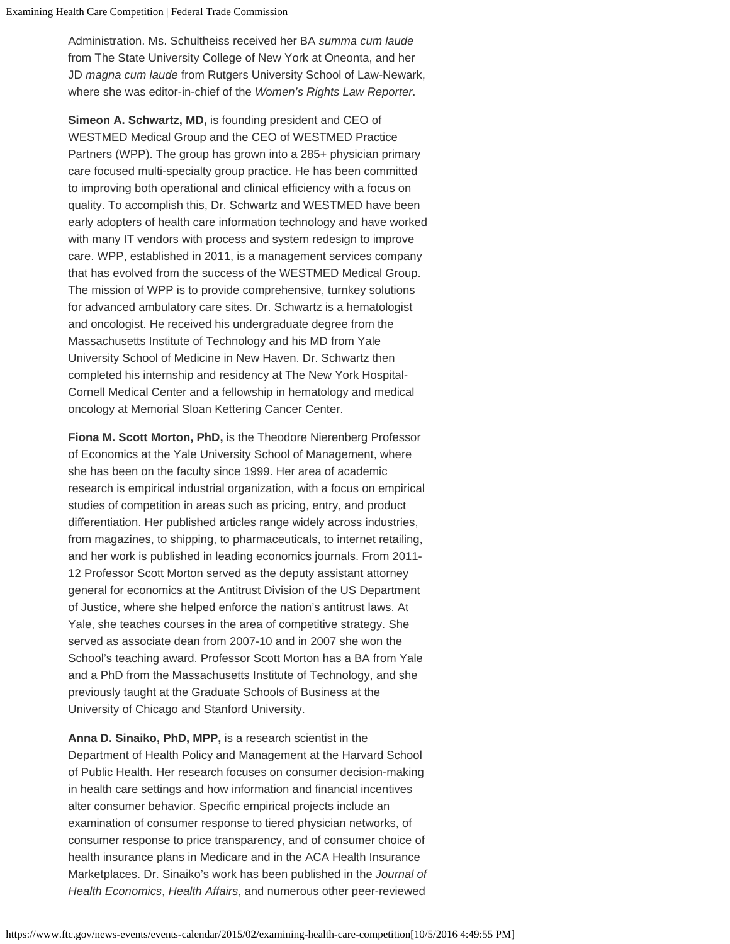Administration. Ms. Schultheiss received her BA *summa cum laude* from The State University College of New York at Oneonta, and her JD *magna cum laude* from Rutgers University School of Law-Newark, where she was editor-in-chief of the *Women's Rights Law Reporter*.

**Simeon A. Schwartz, MD,** is founding president and CEO of WESTMED Medical Group and the CEO of WESTMED Practice Partners (WPP). The group has grown into a 285+ physician primary care focused multi-specialty group practice. He has been committed to improving both operational and clinical efficiency with a focus on quality. To accomplish this, Dr. Schwartz and WESTMED have been early adopters of health care information technology and have worked with many IT vendors with process and system redesign to improve care. WPP, established in 2011, is a management services company that has evolved from the success of the WESTMED Medical Group. The mission of WPP is to provide comprehensive, turnkey solutions for advanced ambulatory care sites. Dr. Schwartz is a hematologist and oncologist. He received his undergraduate degree from the Massachusetts Institute of Technology and his MD from Yale University School of Medicine in New Haven. Dr. Schwartz then completed his internship and residency at The New York Hospital-Cornell Medical Center and a fellowship in hematology and medical oncology at Memorial Sloan Kettering Cancer Center.

**Fiona M. Scott Morton, PhD,** is the Theodore Nierenberg Professor of Economics at the Yale University School of Management, where she has been on the faculty since 1999. Her area of academic research is empirical industrial organization, with a focus on empirical studies of competition in areas such as pricing, entry, and product differentiation. Her published articles range widely across industries, from magazines, to shipping, to pharmaceuticals, to internet retailing, and her work is published in leading economics journals. From 2011- 12 Professor Scott Morton served as the deputy assistant attorney general for economics at the Antitrust Division of the US Department of Justice, where she helped enforce the nation's antitrust laws. At Yale, she teaches courses in the area of competitive strategy. She served as associate dean from 2007-10 and in 2007 she won the School's teaching award. Professor Scott Morton has a BA from Yale and a PhD from the Massachusetts Institute of Technology, and she previously taught at the Graduate Schools of Business at the University of Chicago and Stanford University.

**Anna D. Sinaiko, PhD, MPP,** is a research scientist in the Department of Health Policy and Management at the Harvard School of Public Health. Her research focuses on consumer decision-making in health care settings and how information and financial incentives alter consumer behavior. Specific empirical projects include an examination of consumer response to tiered physician networks, of consumer response to price transparency, and of consumer choice of health insurance plans in Medicare and in the ACA Health Insurance Marketplaces. Dr. Sinaiko's work has been published in the *Journal of Health Economics*, *Health Affairs*, and numerous other peer-reviewed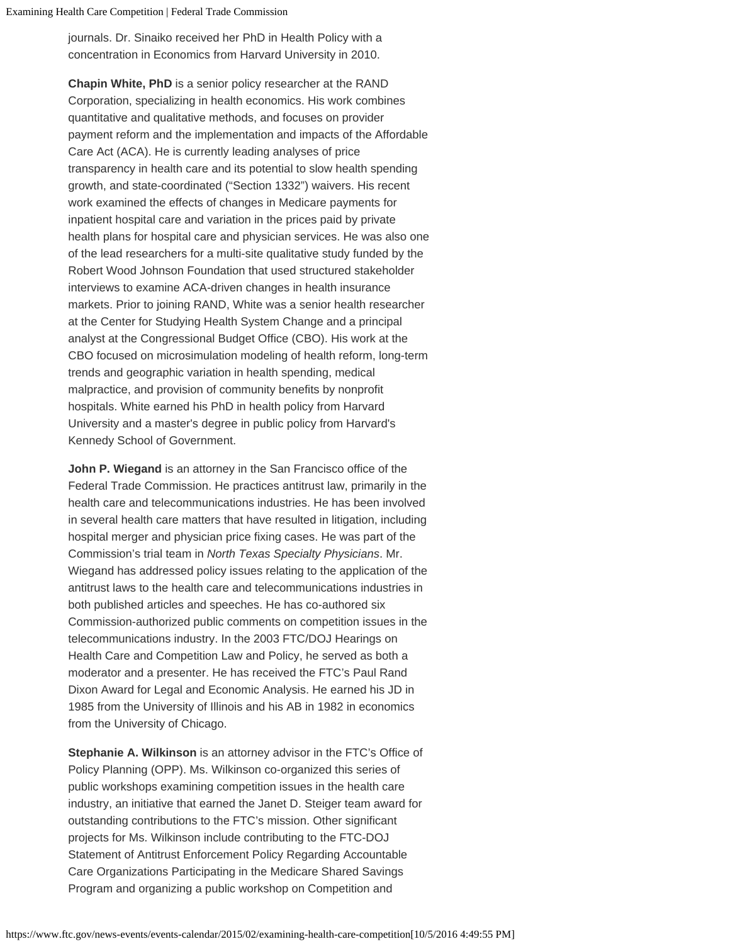journals. Dr. Sinaiko received her PhD in Health Policy with a concentration in Economics from Harvard University in 2010.

**Chapin White, PhD** is a senior policy researcher at the RAND Corporation, specializing in health economics. His work combines quantitative and qualitative methods, and focuses on provider payment reform and the implementation and impacts of the Affordable Care Act (ACA). He is currently leading analyses of price transparency in health care and its potential to slow health spending growth, and state-coordinated ("Section 1332") waivers. His recent work examined the effects of changes in Medicare payments for inpatient hospital care and variation in the prices paid by private health plans for hospital care and physician services. He was also one of the lead researchers for a multi-site qualitative study funded by the Robert Wood Johnson Foundation that used structured stakeholder interviews to examine ACA-driven changes in health insurance markets. Prior to joining RAND, White was a senior health researcher at the Center for Studying Health System Change and a principal analyst at the Congressional Budget Office (CBO). His work at the CBO focused on microsimulation modeling of health reform, long-term trends and geographic variation in health spending, medical malpractice, and provision of community benefits by nonprofit hospitals. White earned his PhD in health policy from Harvard University and a master's degree in public policy from Harvard's Kennedy School of Government.

**John P. Wiegand** is an attorney in the San Francisco office of the Federal Trade Commission. He practices antitrust law, primarily in the health care and telecommunications industries. He has been involved in several health care matters that have resulted in litigation, including hospital merger and physician price fixing cases. He was part of the Commission's trial team in *North Texas Specialty Physicians*. Mr. Wiegand has addressed policy issues relating to the application of the antitrust laws to the health care and telecommunications industries in both published articles and speeches. He has co-authored six Commission-authorized public comments on competition issues in the telecommunications industry. In the 2003 FTC/DOJ Hearings on Health Care and Competition Law and Policy, he served as both a moderator and a presenter. He has received the FTC's Paul Rand Dixon Award for Legal and Economic Analysis. He earned his JD in 1985 from the University of Illinois and his AB in 1982 in economics from the University of Chicago.

**Stephanie A. Wilkinson** is an attorney advisor in the FTC's Office of Policy Planning (OPP). Ms. Wilkinson co-organized this series of public workshops examining competition issues in the health care industry, an initiative that earned the Janet D. Steiger team award for outstanding contributions to the FTC's mission. Other significant projects for Ms. Wilkinson include contributing to the FTC-DOJ Statement of Antitrust Enforcement Policy Regarding Accountable Care Organizations Participating in the Medicare Shared Savings Program and organizing a public workshop on Competition and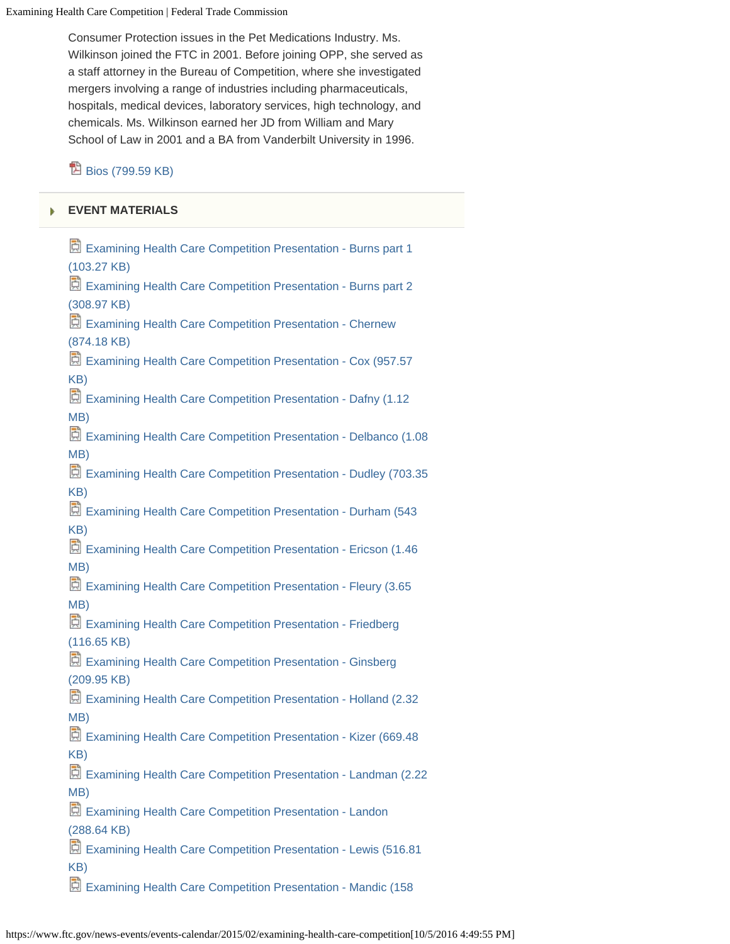Examining Health Care Competition | Federal Trade Commission

Consumer Protection issues in the Pet Medications Industry. Ms. Wilkinson joined the FTC in 2001. Before joining OPP, she served as a staff attorney in the Bureau of Competition, where she investigated mergers involving a range of industries including pharmaceuticals, hospitals, medical devices, laboratory services, high technology, and chemicals. Ms. Wilkinson earned her JD from William and Mary School of Law in 2001 and a BA from Vanderbilt University in 1996.

 $\mathbb{B}$  [Bios \(799.59 KB\)](https://www.ftc.gov/system/files/documents/public_events/618591/examining-healthcare-competition-bios.pdf)

### **[EVENT MATERIALS](#page-0-0)**

[Examining Health Care Competition Presentation - Burns part 1](https://www.ftc.gov/system/files/documents/public_events/618591/burns_1.pptx) [\(103.27 KB\)](https://www.ftc.gov/system/files/documents/public_events/618591/burns_1.pptx) [Examining Health Care Competition Presentation - Burns part 2](https://www.ftc.gov/system/files/documents/public_events/618591/burns_2.pptx) [\(308.97 KB\)](https://www.ftc.gov/system/files/documents/public_events/618591/burns_2.pptx) E [Examining Health Care Competition Presentation - Chernew](https://www.ftc.gov/system/files/documents/public_events/618591/chernew.pptx) [\(874.18 KB\)](https://www.ftc.gov/system/files/documents/public_events/618591/chernew.pptx) [Examining Health Care Competition Presentation - Cox \(957.57](https://www.ftc.gov/system/files/documents/public_events/618591/cox.pptx) [KB\)](https://www.ftc.gov/system/files/documents/public_events/618591/cox.pptx) [Examining Health Care Competition Presentation - Dafny \(1.12](https://www.ftc.gov/system/files/documents/public_events/618591/dafny.pptx) [MB\)](https://www.ftc.gov/system/files/documents/public_events/618591/dafny.pptx) [Examining Health Care Competition Presentation - Delbanco \(1.08](https://www.ftc.gov/system/files/documents/public_events/618591/delbanco.pptx)) [MB\)](https://www.ftc.gov/system/files/documents/public_events/618591/delbanco.pptx) [Examining Health Care Competition Presentation - Dudley \(703.35](https://www.ftc.gov/system/files/documents/public_events/618591/dudley.pptx)) [KB\)](https://www.ftc.gov/system/files/documents/public_events/618591/dudley.pptx) [Examining Health Care Competition Presentation - Durham \(543](https://www.ftc.gov/system/files/documents/public_events/618591/durham.ppt)) [KB\)](https://www.ftc.gov/system/files/documents/public_events/618591/durham.ppt) [Examining Health Care Competition Presentation - Ericson \(1.46](https://www.ftc.gov/system/files/documents/public_events/618591/ericson.pptx) [MB\)](https://www.ftc.gov/system/files/documents/public_events/618591/ericson.pptx) [Examining Health Care Competition Presentation - Fleury \(3.65](https://www.ftc.gov/system/files/documents/public_events/618591/fleury.pptx) [MB\)](https://www.ftc.gov/system/files/documents/public_events/618591/fleury.pptx) [Examining Health Care Competition Presentation - Friedberg](https://www.ftc.gov/system/files/documents/public_events/618591/friedberg.pptx) [\(116.65 KB\)](https://www.ftc.gov/system/files/documents/public_events/618591/friedberg.pptx) [Examining Health Care Competition Presentation - Ginsberg](https://www.ftc.gov/system/files/documents/public_events/618591/ginsburg.pptx) [\(209.95 KB\)](https://www.ftc.gov/system/files/documents/public_events/618591/ginsburg.pptx) [Examining Health Care Competition Presentation - Holland \(2.32](https://www.ftc.gov/system/files/documents/public_events/618591/holland.pptx)) [MB\)](https://www.ftc.gov/system/files/documents/public_events/618591/holland.pptx) [Examining Health Care Competition Presentation - Kizer \(669.48](https://www.ftc.gov/system/files/documents/public_events/618591/kizer_slides.pptx)) [KB\)](https://www.ftc.gov/system/files/documents/public_events/618591/kizer_slides.pptx) [Examining Health Care Competition Presentation - Landman \(2.22](https://www.ftc.gov/system/files/documents/public_events/618591/landman.pptx)) [MB\)](https://www.ftc.gov/system/files/documents/public_events/618591/landman.pptx) [Examining Health Care Competition Presentation - Landon](https://www.ftc.gov/system/files/documents/public_events/618591/landon.pptx) [\(288.64 KB\)](https://www.ftc.gov/system/files/documents/public_events/618591/landon.pptx) [Examining Health Care Competition Presentation - Lewis \(516.81](https://www.ftc.gov/system/files/documents/public_events/618591/lewis.pptx) [KB\)](https://www.ftc.gov/system/files/documents/public_events/618591/lewis.pptx) [Examining Health Care Competition Presentation - Mandic \(158](https://www.ftc.gov/system/files/documents/public_events/618591/mandic.pptx)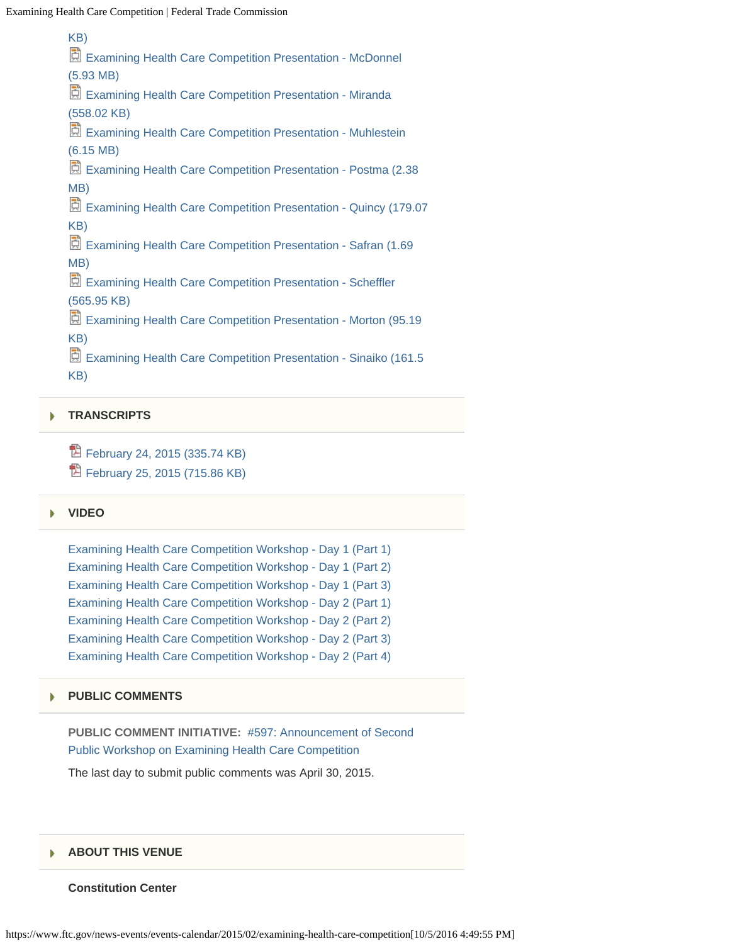[KB\)](https://www.ftc.gov/system/files/documents/public_events/618591/mandic.pptx) [Examining Health Care Competition Presentation - McDonnel](https://www.ftc.gov/system/files/documents/public_events/618591/mcdonnel.pptx) [\(5.93 MB\)](https://www.ftc.gov/system/files/documents/public_events/618591/mcdonnel.pptx) [Examining Health Care Competition Presentation - Miranda](https://www.ftc.gov/system/files/documents/public_events/618591/miranda.pptx) [\(558.02 KB\)](https://www.ftc.gov/system/files/documents/public_events/618591/miranda.pptx) [Examining Health Care Competition Presentation - Muhlestein](https://www.ftc.gov/system/files/documents/public_events/618591/muhlestein.pptx) [\(6.15 MB\)](https://www.ftc.gov/system/files/documents/public_events/618591/muhlestein.pptx) [Examining Health Care Competition Presentation - Postma \(2.38](https://www.ftc.gov/system/files/documents/public_events/618591/postma.pptx)) [MB\)](https://www.ftc.gov/system/files/documents/public_events/618591/postma.pptx) [Examining Health Care Competition Presentation - Quincy \(179.07](https://www.ftc.gov/system/files/documents/public_events/618591/quincy.pptx) [KB\)](https://www.ftc.gov/system/files/documents/public_events/618591/quincy.pptx) [Examining Health Care Competition Presentation - Safran \(1.69](https://www.ftc.gov/system/files/documents/public_events/618591/safran.pptx) [MB\)](https://www.ftc.gov/system/files/documents/public_events/618591/safran.pptx) [Examining Health Care Competition Presentation - Scheffler](https://www.ftc.gov/system/files/documents/public_events/618591/scheffler.pptx) [\(565.95 KB\)](https://www.ftc.gov/system/files/documents/public_events/618591/scheffler.pptx) [Examining Health Care Competition Presentation - Morton \(95.19](https://www.ftc.gov/system/files/documents/public_events/618591/scott_morton.pptx) [KB\)](https://www.ftc.gov/system/files/documents/public_events/618591/scott_morton.pptx) [Examining Health Care Competition Presentation - Sinaiko \(161.5](https://www.ftc.gov/system/files/documents/public_events/618591/sinaiko-1.ppt)) [KB\)](https://www.ftc.gov/system/files/documents/public_events/618591/sinaiko-1.ppt)

### **[TRANSCRIPTS](#page-0-0)**

<sup>1</sup> [February 24, 2015 \(335.74 KB\)](https://www.ftc.gov/system/files/documents/public_events/618591/transcript-day1.pdf) <sup>1</sup> [February 25, 2015 \(715.86 KB\)](https://www.ftc.gov/system/files/documents/public_events/618591/transcript-day2.pdf)

#### **[VIDEO](#page-0-0)** ь

| Examining Health Care Competition Workshop - Day 1 (Part 1) |
|-------------------------------------------------------------|
| Examining Health Care Competition Workshop - Day 1 (Part 2) |
| Examining Health Care Competition Workshop - Day 1 (Part 3) |
| Examining Health Care Competition Workshop - Day 2 (Part 1) |
| Examining Health Care Competition Workshop - Day 2 (Part 2) |
| Examining Health Care Competition Workshop - Day 2 (Part 3) |
| Examining Health Care Competition Workshop - Day 2 (Part 4) |

#### **[PUBLIC COMMENTS](#page-0-0)** ь

**PUBLIC COMMENT INITIATIVE:** [#597: Announcement of Second](https://www.ftc.gov/policy/public-comments/initiative-597) [Public Workshop on Examining Health Care Competition](https://www.ftc.gov/policy/public-comments/initiative-597)

The last day to submit public comments was April 30, 2015.

### **[ABOUT THIS VENUE](#page-0-0)**

### **Constitution Center**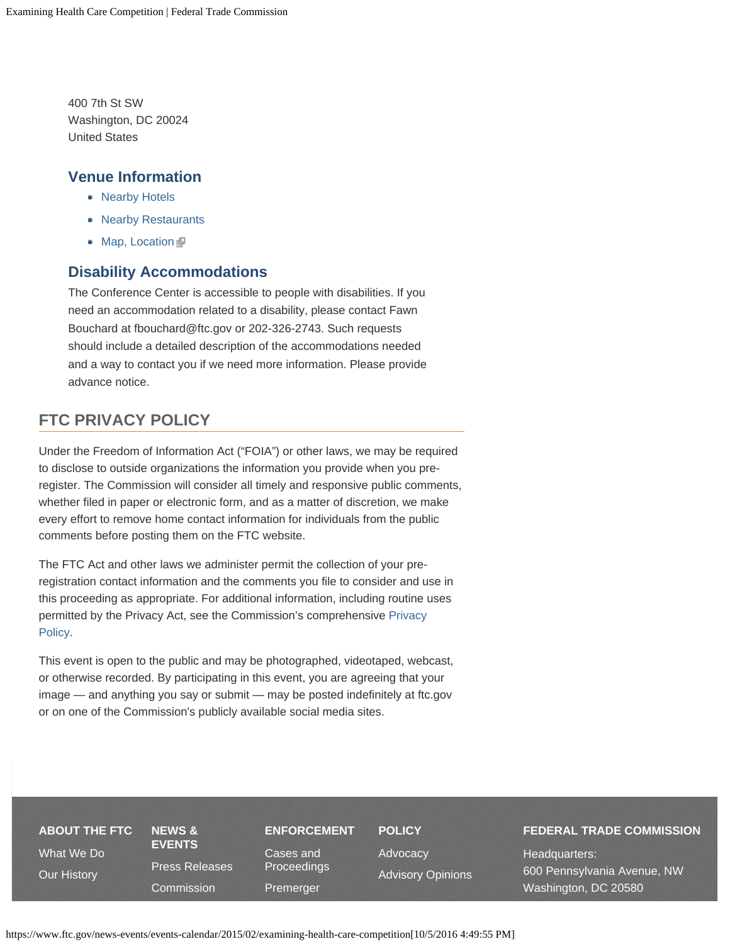400 7th St SW Washington, DC 20024 United States

### **Venue Information**

- [Nearby Hotels](https://www.ftc.gov/news-events/events-calendar/hotels-near-constitution-center)
- [Nearby Restaurants](https://www.ftc.gov/news-events/events-calendar/restaurants-near-constitution-center)
- [Map, Location](http://constitutioncenterdc.com/location)

## **Disability Accommodations**

The Conference Center is accessible to people with disabilities. If you need an accommodation related to a disability, please contact Fawn Bouchard at fbouchard@ftc.gov or 202-326-2743. Such requests should include a detailed description of the accommodations needed and a way to contact you if we need more information. Please provide advance notice.

# **FTC PRIVACY POLICY**

Under the Freedom of Information Act ("FOIA") or other laws, we may be required to disclose to outside organizations the information you provide when you preregister. The Commission will consider all timely and responsive public comments, whether filed in paper or electronic form, and as a matter of discretion, we make every effort to remove home contact information for individuals from the public comments before posting them on the FTC website.

The FTC Act and other laws we administer permit the collection of your preregistration contact information and the comments you file to consider and use in this proceeding as appropriate. For additional information, including routine uses permitted by the Privacy Act, see the Commission's comprehensive [Privacy](https://www.ftc.gov/site-information/privacy-policy) [Policy.](https://www.ftc.gov/site-information/privacy-policy)

This event is open to the public and may be photographed, videotaped, webcast, or otherwise recorded. By participating in this event, you are agreeing that your image — and anything you say or submit — may be posted indefinitely at ftc.gov or on one of the Commission's publicly available social media sites.

# **[ABOUT THE FTC](https://www.ftc.gov/about-ftc)** [What We Do](https://www.ftc.gov/about-ftc/what-we-do) [Our History](https://www.ftc.gov/about-ftc/our-history)

**[NEWS &](https://www.ftc.gov/news-events) [EVENTS](https://www.ftc.gov/news-events)** [Press Releases](https://www.ftc.gov/news-events/press-releases) [Commission](https://www.ftc.gov/news-events/commission-actions)

# **[ENFORCEMENT](https://www.ftc.gov/enforcement)**

[Cases and](https://www.ftc.gov/enforcement/cases-proceedings) [Proceedings](https://www.ftc.gov/enforcement/cases-proceedings) [Premerger](https://www.ftc.gov/enforcement/premerger-notification-program)

**[POLICY](https://www.ftc.gov/policy)** [Advocacy](https://www.ftc.gov/policy/advocacy) [Advisory Opinions](https://www.ftc.gov/policy/advisory-opinions)

### **FEDERAL TRADE COMMISSION**

Headquarters: 600 Pennsylvania Avenue, NW Washington, DC 20580